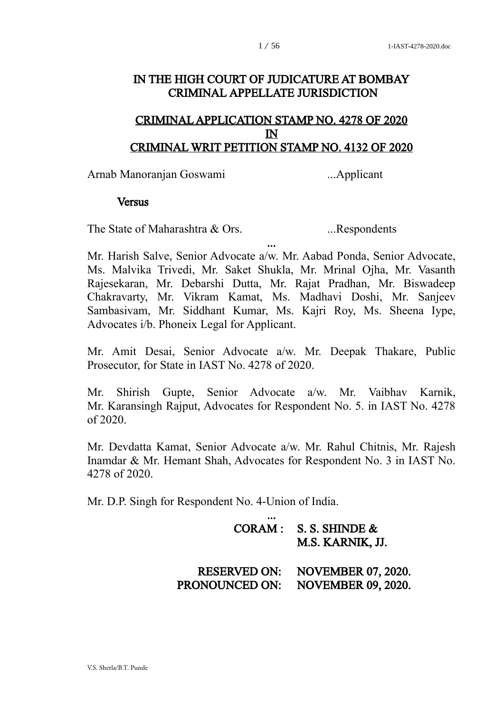## IN THE HIGH COURT OF JUDICATURE AT BOMBAY CRIMINAL APPELLATE JURISDICTION

## CRIMINAL APPLICATION STAMP NO. 4278 OF 2020 IN CRIMINAL WRIT PETITION STAMP NO. 4132 OF 2020

Arnab Manoranjan Goswami ...Applicant

#### **Versus**

The State of Maharashtra & Ors. ...Respondents

Mr. Harish Salve, Senior Advocate a/w. Mr. Aabad Ponda, Senior Advocate, Ms. Malvika Trivedi, Mr. Saket Shukla, Mr. Mrinal Ojha, Mr. Vasanth Rajesekaran, Mr. Debarshi Dutta, Mr. Rajat Pradhan, Mr. Biswadeep Chakravarty, Mr. Vikram Kamat, Ms. Madhavi Doshi, Mr. Sanjeev Sambasivam, Mr. Siddhant Kumar, Ms. Kajri Roy, Ms. Sheena Iype, Advocates i/b. Phoneix Legal for Applicant.

...

Mr. Amit Desai, Senior Advocate a/w. Mr. Deepak Thakare, Public Prosecutor, for State in IAST No. 4278 of 2020.

Mr. Shirish Gupte, Senior Advocate a/w. Mr. Vaibhav Karnik, Mr. Karansingh Rajput, Advocates for Respondent No. 5. in IAST No. 4278 of 2020.

Mr. Devdatta Kamat, Senior Advocate a/w. Mr. Rahul Chitnis, Mr. Rajesh Inamdar & Mr. Hemant Shah, Advocates for Respondent No. 3 in IAST No. 4278 of 2020.

Mr. D.P. Singh for Respondent No. 4-Union of India.

| CORAM: S.S. SHINDE & |
|----------------------|
| M.S. KARNIK, JJ.     |

 RESERVED ON: NOVEMBER 07, 2020. PRONOUNCED ON: NOVEMBER 09, 2020.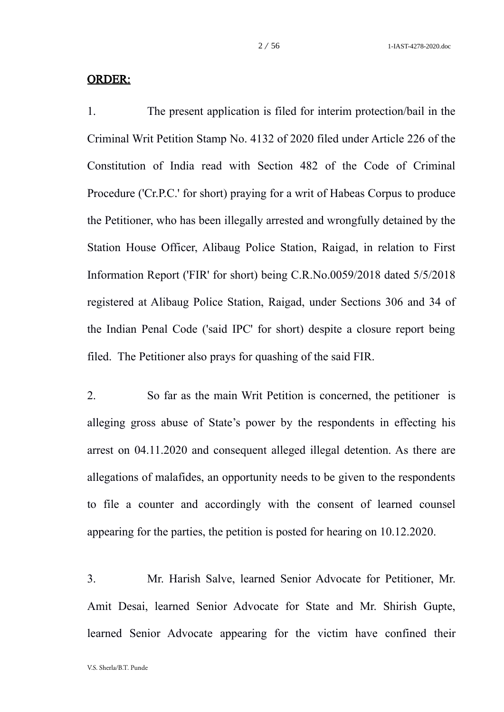#### ORDER:

1. The present application is filed for interim protection/bail in the Criminal Writ Petition Stamp No. 4132 of 2020 filed under Article 226 of the Constitution of India read with Section 482 of the Code of Criminal Procedure ('Cr.P.C.' for short) praying for a writ of Habeas Corpus to produce the Petitioner, who has been illegally arrested and wrongfully detained by the Station House Officer, Alibaug Police Station, Raigad, in relation to First Information Report ('FIR' for short) being C.R.No.0059/2018 dated 5/5/2018 registered at Alibaug Police Station, Raigad, under Sections 306 and 34 of the Indian Penal Code ('said IPC' for short) despite a closure report being filed. The Petitioner also prays for quashing of the said FIR.

2. So far as the main Writ Petition is concerned, the petitioner is alleging gross abuse of State's power by the respondents in effecting his arrest on 04.11.2020 and consequent alleged illegal detention. As there are allegations of malafides, an opportunity needs to be given to the respondents to file a counter and accordingly with the consent of learned counsel appearing for the parties, the petition is posted for hearing on 10.12.2020.

3. Mr. Harish Salve, learned Senior Advocate for Petitioner, Mr. Amit Desai, learned Senior Advocate for State and Mr. Shirish Gupte, learned Senior Advocate appearing for the victim have confined their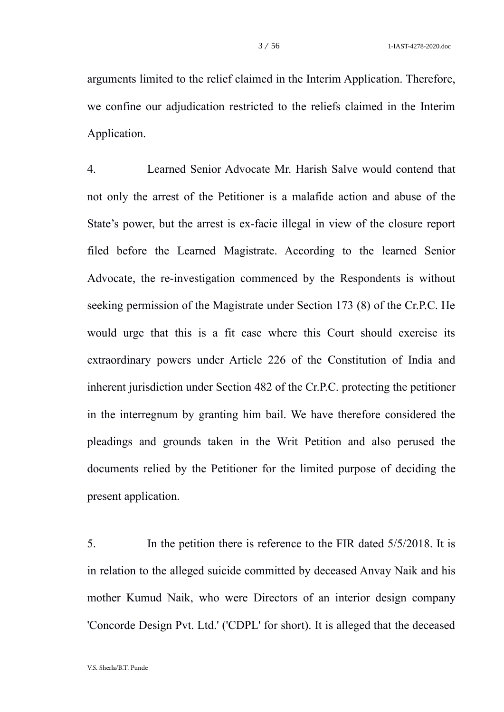arguments limited to the relief claimed in the Interim Application. Therefore, we confine our adjudication restricted to the reliefs claimed in the Interim Application.

4. Learned Senior Advocate Mr. Harish Salve would contend that not only the arrest of the Petitioner is a malafide action and abuse of the State's power, but the arrest is ex-facie illegal in view of the closure report filed before the Learned Magistrate. According to the learned Senior Advocate, the re-investigation commenced by the Respondents is without seeking permission of the Magistrate under Section 173 (8) of the Cr.P.C. He would urge that this is a fit case where this Court should exercise its extraordinary powers under Article 226 of the Constitution of India and inherent jurisdiction under Section 482 of the Cr.P.C. protecting the petitioner in the interregnum by granting him bail. We have therefore considered the pleadings and grounds taken in the Writ Petition and also perused the documents relied by the Petitioner for the limited purpose of deciding the present application.

5. In the petition there is reference to the FIR dated 5/5/2018. It is in relation to the alleged suicide committed by deceased Anvay Naik and his mother Kumud Naik, who were Directors of an interior design company 'Concorde Design Pvt. Ltd.' ('CDPL' for short). It is alleged that the deceased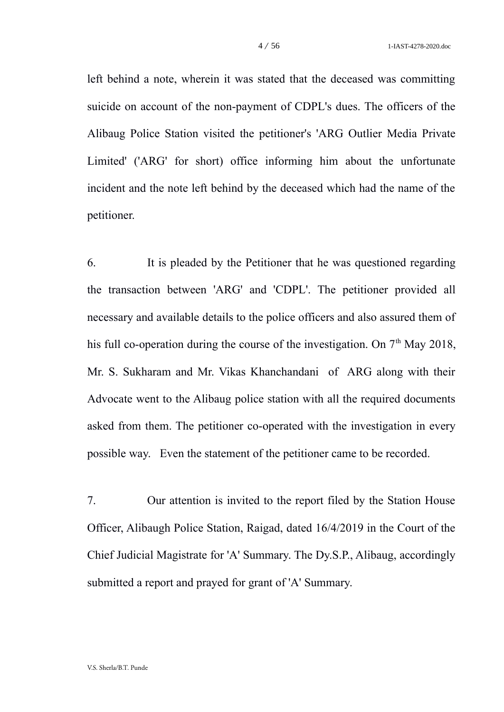left behind a note, wherein it was stated that the deceased was committing suicide on account of the non-payment of CDPL's dues. The officers of the Alibaug Police Station visited the petitioner's 'ARG Outlier Media Private Limited' ('ARG' for short) office informing him about the unfortunate incident and the note left behind by the deceased which had the name of the petitioner.

6. It is pleaded by the Petitioner that he was questioned regarding the transaction between 'ARG' and 'CDPL'. The petitioner provided all necessary and available details to the police officers and also assured them of his full co-operation during the course of the investigation. On  $7<sup>th</sup>$  May 2018, Mr. S. Sukharam and Mr. Vikas Khanchandani of ARG along with their Advocate went to the Alibaug police station with all the required documents asked from them. The petitioner co-operated with the investigation in every possible way. Even the statement of the petitioner came to be recorded.

7. Our attention is invited to the report filed by the Station House Officer, Alibaugh Police Station, Raigad, dated 16/4/2019 in the Court of the Chief Judicial Magistrate for 'A' Summary. The Dy.S.P., Alibaug, accordingly submitted a report and prayed for grant of 'A' Summary.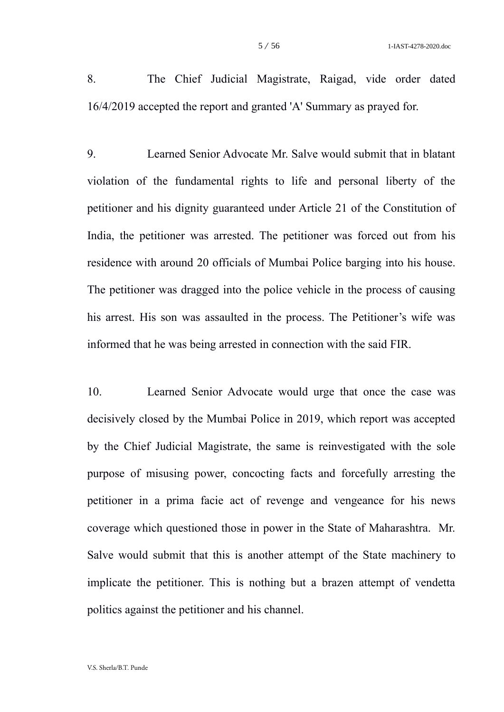8. The Chief Judicial Magistrate, Raigad, vide order dated 16/4/2019 accepted the report and granted 'A' Summary as prayed for.

9. Learned Senior Advocate Mr. Salve would submit that in blatant violation of the fundamental rights to life and personal liberty of the petitioner and his dignity guaranteed under Article 21 of the Constitution of India, the petitioner was arrested. The petitioner was forced out from his residence with around 20 officials of Mumbai Police barging into his house. The petitioner was dragged into the police vehicle in the process of causing his arrest. His son was assaulted in the process. The Petitioner's wife was informed that he was being arrested in connection with the said FIR.

10. Learned Senior Advocate would urge that once the case was decisively closed by the Mumbai Police in 2019, which report was accepted by the Chief Judicial Magistrate, the same is reinvestigated with the sole purpose of misusing power, concocting facts and forcefully arresting the petitioner in a prima facie act of revenge and vengeance for his news coverage which questioned those in power in the State of Maharashtra. Mr. Salve would submit that this is another attempt of the State machinery to implicate the petitioner. This is nothing but a brazen attempt of vendetta politics against the petitioner and his channel.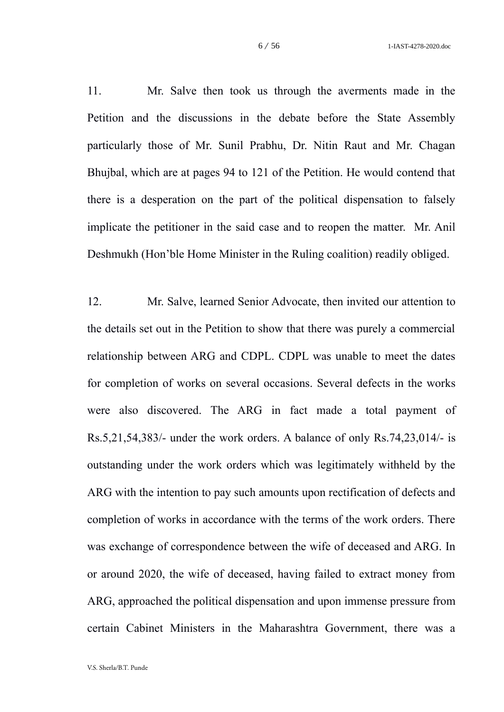11. Mr. Salve then took us through the averments made in the Petition and the discussions in the debate before the State Assembly particularly those of Mr. Sunil Prabhu, Dr. Nitin Raut and Mr. Chagan Bhujbal, which are at pages 94 to 121 of the Petition. He would contend that there is a desperation on the part of the political dispensation to falsely implicate the petitioner in the said case and to reopen the matter. Mr. Anil Deshmukh (Hon'ble Home Minister in the Ruling coalition) readily obliged.

12. Mr. Salve, learned Senior Advocate, then invited our attention to the details set out in the Petition to show that there was purely a commercial relationship between ARG and CDPL. CDPL was unable to meet the dates for completion of works on several occasions. Several defects in the works were also discovered. The ARG in fact made a total payment of Rs.5,21,54,383/- under the work orders. A balance of only Rs.74,23,014/- is outstanding under the work orders which was legitimately withheld by the ARG with the intention to pay such amounts upon rectification of defects and completion of works in accordance with the terms of the work orders. There was exchange of correspondence between the wife of deceased and ARG. In or around 2020, the wife of deceased, having failed to extract money from ARG, approached the political dispensation and upon immense pressure from certain Cabinet Ministers in the Maharashtra Government, there was a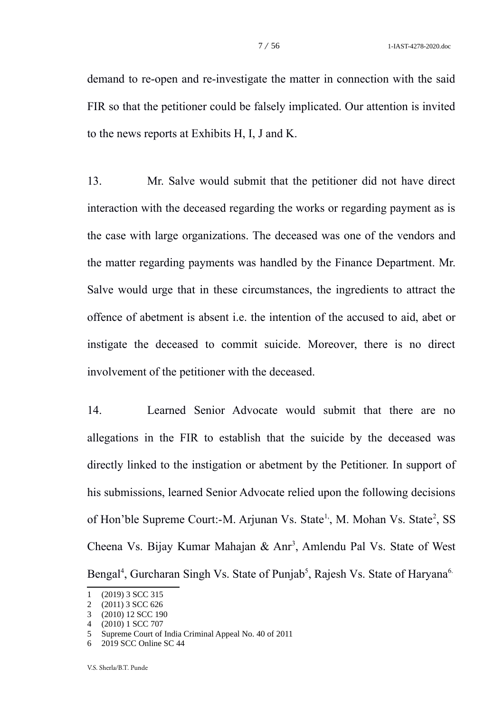demand to re-open and re-investigate the matter in connection with the said FIR so that the petitioner could be falsely implicated. Our attention is invited to the news reports at Exhibits H, I, J and K.

13. Mr. Salve would submit that the petitioner did not have direct interaction with the deceased regarding the works or regarding payment as is the case with large organizations. The deceased was one of the vendors and the matter regarding payments was handled by the Finance Department. Mr. Salve would urge that in these circumstances, the ingredients to attract the offence of abetment is absent i.e. the intention of the accused to aid, abet or instigate the deceased to commit suicide. Moreover, there is no direct involvement of the petitioner with the deceased.

14. Learned Senior Advocate would submit that there are no allegations in the FIR to establish that the suicide by the deceased was directly linked to the instigation or abetment by the Petitioner. In support of his submissions, learned Senior Advocate relied upon the following decisions of Hon'ble Supreme Court:-M. Arjunan Vs. State<sup>1</sup>, M. Mohan Vs. State<sup>[2](#page-6-1)</sup>, SS Cheena Vs. Bijay Kumar Mahajan & Anr<sup>[3](#page-6-2)</sup>, Amlendu Pal Vs. State of West Bengal<sup>[4](#page-6-3)</sup>, Gurcharan Singh Vs. State of Punjab<sup>[5](#page-6-4)</sup>, Rajesh Vs. State of Haryana<sup>[6.](#page-6-5)</sup>

<span id="page-6-0"></span><sup>1</sup> (2019) 3 SCC 315

<span id="page-6-1"></span><sup>2</sup> (2011) 3 SCC 626

<span id="page-6-2"></span><sup>3</sup> (2010) 12 SCC 190

<span id="page-6-3"></span><sup>4</sup> (2010) 1 SCC 707

<span id="page-6-4"></span><sup>5</sup> Supreme Court of India Criminal Appeal No. 40 of 2011

<span id="page-6-5"></span><sup>6</sup> 2019 SCC Online SC 44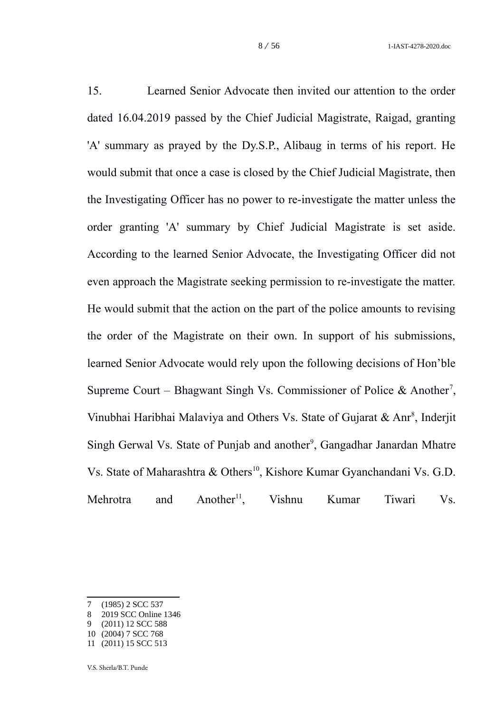15. Learned Senior Advocate then invited our attention to the order dated 16.04.2019 passed by the Chief Judicial Magistrate, Raigad, granting 'A' summary as prayed by the Dy.S.P., Alibaug in terms of his report. He would submit that once a case is closed by the Chief Judicial Magistrate, then the Investigating Officer has no power to re-investigate the matter unless the order granting 'A' summary by Chief Judicial Magistrate is set aside. According to the learned Senior Advocate, the Investigating Officer did not even approach the Magistrate seeking permission to re-investigate the matter. He would submit that the action on the part of the police amounts to revising the order of the Magistrate on their own. In support of his submissions, learned Senior Advocate would rely upon the following decisions of Hon'ble Supreme Court – Bhagwant Singh Vs. Commissioner of Police & Another<sup>[7](#page-7-0)</sup>, Vinubhai Haribhai Malaviya and Others Vs. State of Gujarat & Anr<sup>[8](#page-7-1)</sup>, Inderjit Singh Gerwal Vs. State of Punjab and another<sup>[9](#page-7-2)</sup>, Gangadhar Janardan Mhatre Vs. State of Maharashtra & Others<sup>[10](#page-7-3)</sup>, Kishore Kumar Gyanchandani Vs. G.D. Mehrotra and Another<sup>[11](#page-7-4)</sup>, Vishnu Kumar Tiwari Vs.

<span id="page-7-0"></span><sup>7</sup> (1985) 2 SCC 537

<span id="page-7-1"></span><sup>8</sup> 2019 SCC Online 1346

<span id="page-7-3"></span><span id="page-7-2"></span><sup>9</sup> (2011) 12 SCC 588 10 (2004) 7 SCC 768

<span id="page-7-4"></span><sup>11</sup> (2011) 15 SCC 513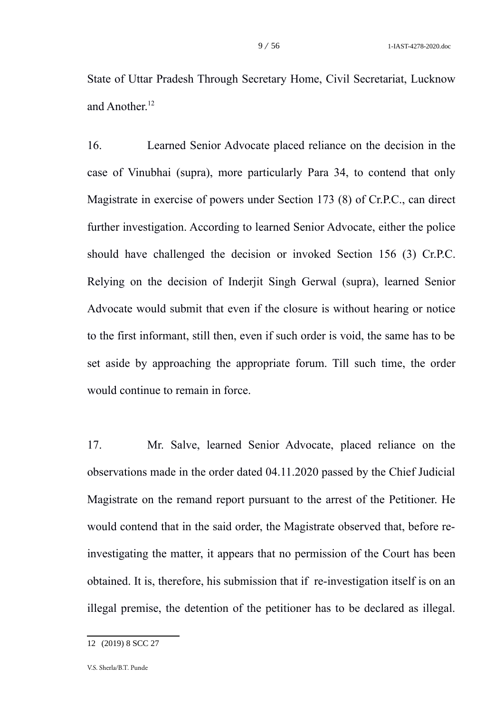State of Uttar Pradesh Through Secretary Home, Civil Secretariat, Lucknow and Another.<sup>[12](#page-8-0)</sup>

16. Learned Senior Advocate placed reliance on the decision in the case of Vinubhai (supra), more particularly Para 34, to contend that only Magistrate in exercise of powers under Section 173 (8) of Cr.P.C., can direct further investigation. According to learned Senior Advocate, either the police should have challenged the decision or invoked Section 156 (3) Cr.P.C. Relying on the decision of Inderjit Singh Gerwal (supra), learned Senior Advocate would submit that even if the closure is without hearing or notice to the first informant, still then, even if such order is void, the same has to be set aside by approaching the appropriate forum. Till such time, the order would continue to remain in force.

17. Mr. Salve, learned Senior Advocate, placed reliance on the observations made in the order dated 04.11.2020 passed by the Chief Judicial Magistrate on the remand report pursuant to the arrest of the Petitioner. He would contend that in the said order, the Magistrate observed that, before reinvestigating the matter, it appears that no permission of the Court has been obtained. It is, therefore, his submission that if re-investigation itself is on an illegal premise, the detention of the petitioner has to be declared as illegal.

<span id="page-8-0"></span><sup>12</sup> (2019) 8 SCC 27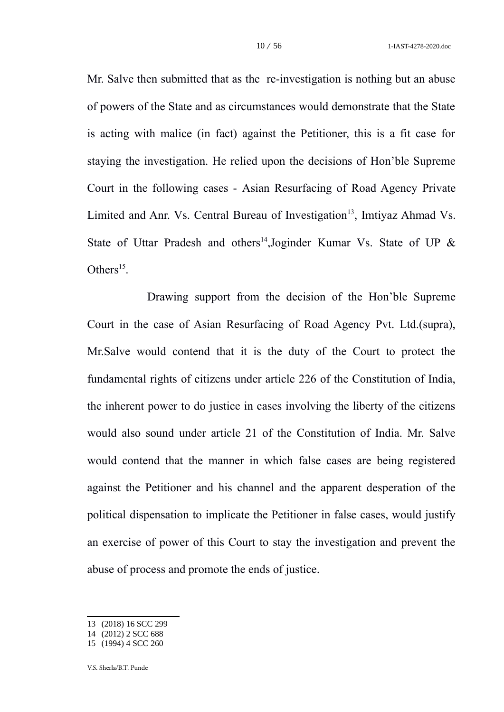Mr. Salve then submitted that as the re-investigation is nothing but an abuse of powers of the State and as circumstances would demonstrate that the State is acting with malice (in fact) against the Petitioner, this is a fit case for staying the investigation. He relied upon the decisions of Hon'ble Supreme Court in the following cases - Asian Resurfacing of Road Agency Private Limited and Anr. Vs. Central Bureau of Investigation<sup>[13](#page-9-0)</sup>, Imtiyaz Ahmad Vs. State of Uttar Pradesh and others<sup>[14](#page-9-1)</sup>, Joginder Kumar Vs. State of UP & Others $^{15}$  $^{15}$  $^{15}$ .

Drawing support from the decision of the Hon'ble Supreme Court in the case of Asian Resurfacing of Road Agency Pvt. Ltd.(supra), Mr.Salve would contend that it is the duty of the Court to protect the fundamental rights of citizens under article 226 of the Constitution of India, the inherent power to do justice in cases involving the liberty of the citizens would also sound under article 21 of the Constitution of India. Mr. Salve would contend that the manner in which false cases are being registered against the Petitioner and his channel and the apparent desperation of the political dispensation to implicate the Petitioner in false cases, would justify an exercise of power of this Court to stay the investigation and prevent the abuse of process and promote the ends of justice.

<span id="page-9-0"></span><sup>13</sup> (2018) 16 SCC 299

<span id="page-9-1"></span><sup>14</sup> (2012) 2 SCC 688

<span id="page-9-2"></span><sup>15</sup> (1994) 4 SCC 260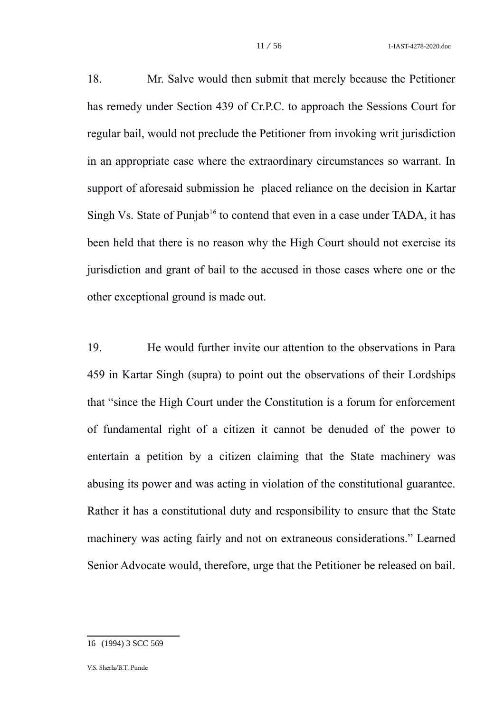18. Mr. Salve would then submit that merely because the Petitioner has remedy under Section 439 of Cr.P.C. to approach the Sessions Court for regular bail, would not preclude the Petitioner from invoking writ jurisdiction in an appropriate case where the extraordinary circumstances so warrant. In support of aforesaid submission he placed reliance on the decision in Kartar Singh Vs. State of Punjab<sup>[16](#page-10-0)</sup> to contend that even in a case under TADA, it has been held that there is no reason why the High Court should not exercise its jurisdiction and grant of bail to the accused in those cases where one or the other exceptional ground is made out.

19. He would further invite our attention to the observations in Para 459 in Kartar Singh (supra) to point out the observations of their Lordships that "since the High Court under the Constitution is a forum for enforcement of fundamental right of a citizen it cannot be denuded of the power to entertain a petition by a citizen claiming that the State machinery was abusing its power and was acting in violation of the constitutional guarantee. Rather it has a constitutional duty and responsibility to ensure that the State machinery was acting fairly and not on extraneous considerations." Learned Senior Advocate would, therefore, urge that the Petitioner be released on bail.

<span id="page-10-0"></span><sup>16</sup> (1994) 3 SCC 569

V.S. Sherla/B.T. Punde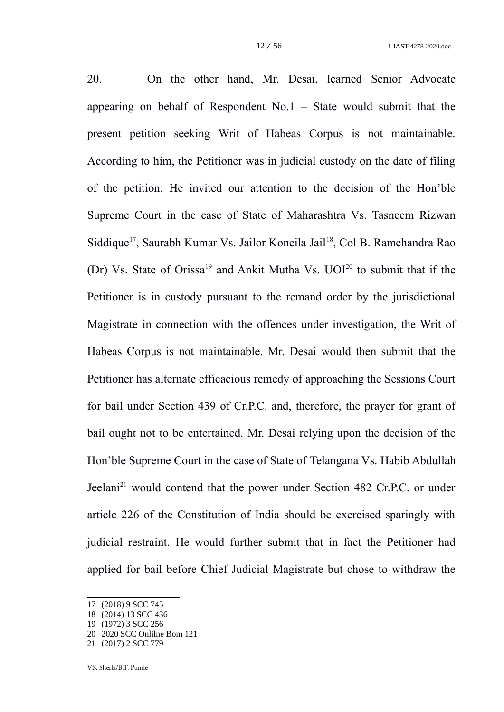20. On the other hand, Mr. Desai, learned Senior Advocate appearing on behalf of Respondent No.1 – State would submit that the present petition seeking Writ of Habeas Corpus is not maintainable. According to him, the Petitioner was in judicial custody on the date of filing of the petition. He invited our attention to the decision of the Hon'ble Supreme Court in the case of State of Maharashtra Vs. Tasneem Rizwan Siddique<sup>[17](#page-11-0)</sup>, Saurabh Kumar Vs. Jailor Koneila Jail<sup>[18](#page-11-1)</sup>, Col B. Ramchandra Rao (Dr) Vs. State of Orissa<sup>[19](#page-11-2)</sup> and Ankit Mutha Vs.  $UOI<sup>20</sup>$  $UOI<sup>20</sup>$  $UOI<sup>20</sup>$  to submit that if the Petitioner is in custody pursuant to the remand order by the jurisdictional Magistrate in connection with the offences under investigation, the Writ of Habeas Corpus is not maintainable. Mr. Desai would then submit that the Petitioner has alternate efficacious remedy of approaching the Sessions Court for bail under Section 439 of Cr.P.C. and, therefore, the prayer for grant of bail ought not to be entertained. Mr. Desai relying upon the decision of the Hon'ble Supreme Court in the case of State of Telangana Vs. Habib Abdullah Jeelani<sup>[21](#page-11-4)</sup> would contend that the power under Section 482 Cr.P.C. or under article 226 of the Constitution of India should be exercised sparingly with judicial restraint. He would further submit that in fact the Petitioner had applied for bail before Chief Judicial Magistrate but chose to withdraw the

<span id="page-11-0"></span><sup>17</sup> (2018) 9 SCC 745

<span id="page-11-1"></span><sup>18</sup> (2014) 13 SCC 436

<span id="page-11-2"></span><sup>19</sup> (1972) 3 SCC 256

<span id="page-11-3"></span><sup>20</sup> 2020 SCC Onlilne Bom 121

<span id="page-11-4"></span><sup>21</sup> (2017) 2 SCC 779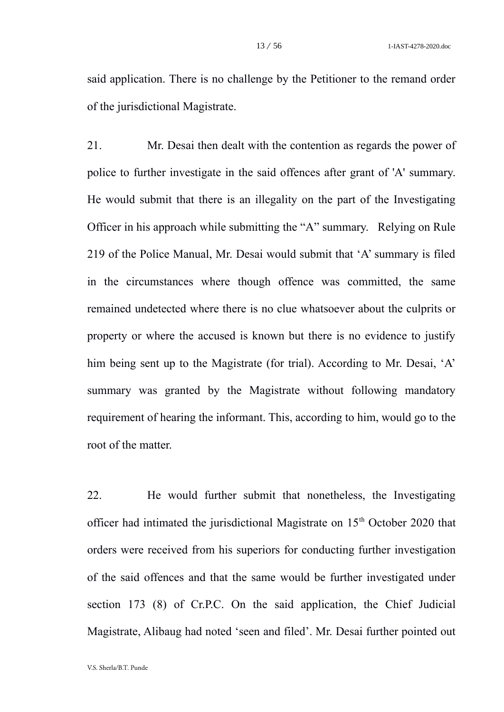said application. There is no challenge by the Petitioner to the remand order of the jurisdictional Magistrate.

21. Mr. Desai then dealt with the contention as regards the power of police to further investigate in the said offences after grant of 'A' summary. He would submit that there is an illegality on the part of the Investigating Officer in his approach while submitting the "A" summary. Relying on Rule 219 of the Police Manual, Mr. Desai would submit that 'A' summary is filed in the circumstances where though offence was committed, the same remained undetected where there is no clue whatsoever about the culprits or property or where the accused is known but there is no evidence to justify him being sent up to the Magistrate (for trial). According to Mr. Desai, 'A' summary was granted by the Magistrate without following mandatory requirement of hearing the informant. This, according to him, would go to the root of the matter.

22. He would further submit that nonetheless, the Investigating officer had intimated the jurisdictional Magistrate on  $15<sup>th</sup>$  October 2020 that orders were received from his superiors for conducting further investigation of the said offences and that the same would be further investigated under section 173 (8) of Cr.P.C. On the said application, the Chief Judicial Magistrate, Alibaug had noted 'seen and filed'. Mr. Desai further pointed out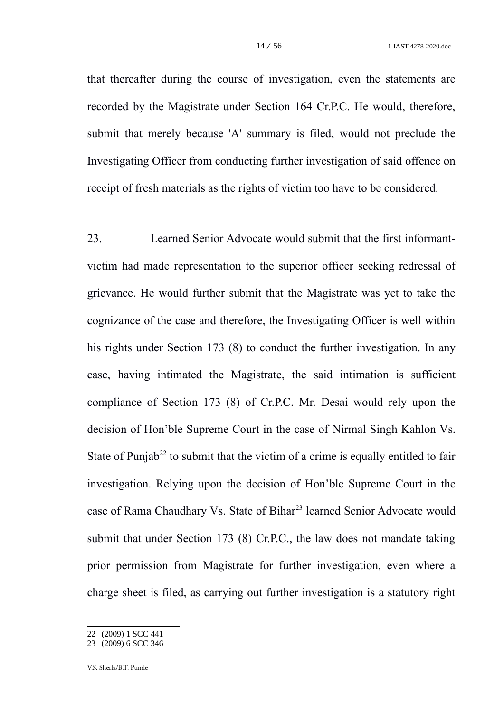that thereafter during the course of investigation, even the statements are recorded by the Magistrate under Section 164 Cr.P.C. He would, therefore, submit that merely because 'A' summary is filed, would not preclude the Investigating Officer from conducting further investigation of said offence on receipt of fresh materials as the rights of victim too have to be considered.

23. Learned Senior Advocate would submit that the first informantvictim had made representation to the superior officer seeking redressal of grievance. He would further submit that the Magistrate was yet to take the cognizance of the case and therefore, the Investigating Officer is well within his rights under Section 173 (8) to conduct the further investigation. In any case, having intimated the Magistrate, the said intimation is sufficient compliance of Section 173 (8) of Cr.P.C. Mr. Desai would rely upon the decision of Hon'ble Supreme Court in the case of Nirmal Singh Kahlon Vs. State of Punjab<sup>[22](#page-13-0)</sup> to submit that the victim of a crime is equally entitled to fair investigation. Relying upon the decision of Hon'ble Supreme Court in the case of Rama Chaudhary Vs. State of Bihar<sup>[23](#page-13-1)</sup> learned Senior Advocate would submit that under Section 173 (8) Cr.P.C., the law does not mandate taking prior permission from Magistrate for further investigation, even where a charge sheet is filed, as carrying out further investigation is a statutory right

<span id="page-13-0"></span><sup>22</sup> (2009) 1 SCC 441

<span id="page-13-1"></span><sup>23</sup> (2009) 6 SCC 346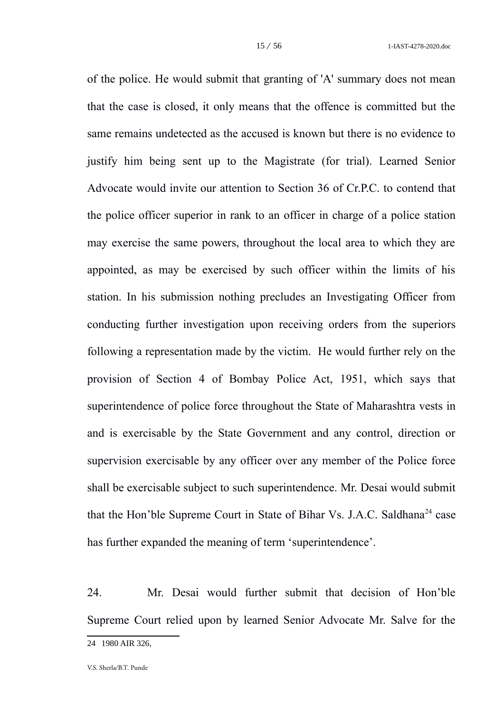of the police. He would submit that granting of 'A' summary does not mean that the case is closed, it only means that the offence is committed but the same remains undetected as the accused is known but there is no evidence to justify him being sent up to the Magistrate (for trial). Learned Senior Advocate would invite our attention to Section 36 of Cr.P.C. to contend that the police officer superior in rank to an officer in charge of a police station may exercise the same powers, throughout the local area to which they are appointed, as may be exercised by such officer within the limits of his station. In his submission nothing precludes an Investigating Officer from conducting further investigation upon receiving orders from the superiors following a representation made by the victim. He would further rely on the provision of Section 4 of Bombay Police Act, 1951, which says that superintendence of police force throughout the State of Maharashtra vests in and is exercisable by the State Government and any control, direction or supervision exercisable by any officer over any member of the Police force shall be exercisable subject to such superintendence. Mr. Desai would submit that the Hon'ble Supreme Court in State of Bihar Vs. J.A.C. Saldhana<sup>[24](#page-14-0)</sup> case has further expanded the meaning of term 'superintendence'.

24. Mr. Desai would further submit that decision of Hon'ble Supreme Court relied upon by learned Senior Advocate Mr. Salve for the

<span id="page-14-0"></span><sup>24</sup> 1980 AIR 326,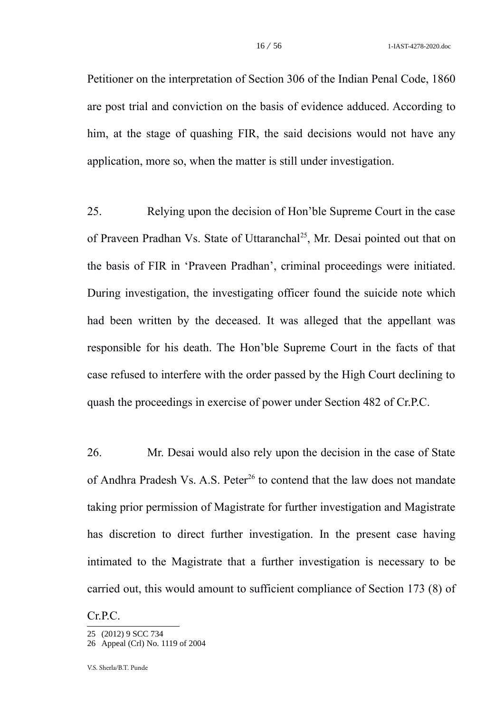Petitioner on the interpretation of Section 306 of the Indian Penal Code, 1860 are post trial and conviction on the basis of evidence adduced. According to him, at the stage of quashing FIR, the said decisions would not have any application, more so, when the matter is still under investigation.

25. Relying upon the decision of Hon'ble Supreme Court in the case of Praveen Pradhan Vs. State of Uttaranchal<sup>[25](#page-15-0)</sup>, Mr. Desai pointed out that on the basis of FIR in 'Praveen Pradhan', criminal proceedings were initiated. During investigation, the investigating officer found the suicide note which had been written by the deceased. It was alleged that the appellant was responsible for his death. The Hon'ble Supreme Court in the facts of that case refused to interfere with the order passed by the High Court declining to quash the proceedings in exercise of power under Section 482 of Cr.P.C.

26. Mr. Desai would also rely upon the decision in the case of State of Andhra Pradesh Vs. A.S. Peter<sup>[26](#page-15-1)</sup> to contend that the law does not mandate taking prior permission of Magistrate for further investigation and Magistrate has discretion to direct further investigation. In the present case having intimated to the Magistrate that a further investigation is necessary to be carried out, this would amount to sufficient compliance of Section 173 (8) of

Cr.P.C.

<span id="page-15-0"></span><sup>25</sup> (2012) 9 SCC 734

<span id="page-15-1"></span><sup>26</sup> Appeal (Crl) No. 1119 of 2004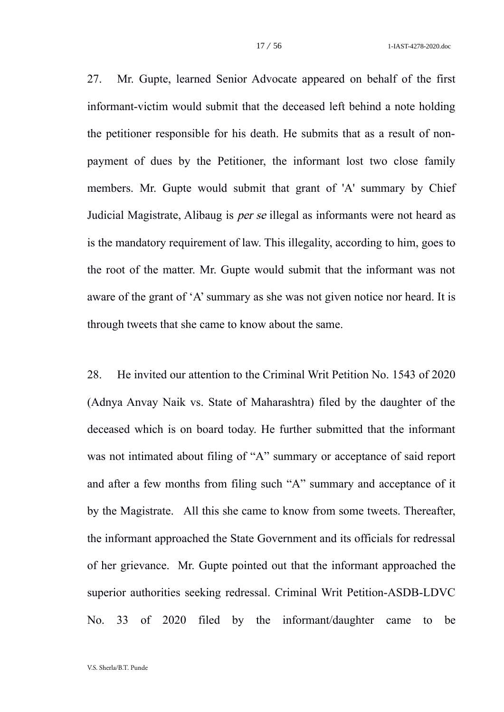27. Mr. Gupte, learned Senior Advocate appeared on behalf of the first informant-victim would submit that the deceased left behind a note holding the petitioner responsible for his death. He submits that as a result of nonpayment of dues by the Petitioner, the informant lost two close family members. Mr. Gupte would submit that grant of 'A' summary by Chief Judicial Magistrate, Alibaug is per se illegal as informants were not heard as is the mandatory requirement of law. This illegality, according to him, goes to the root of the matter. Mr. Gupte would submit that the informant was not aware of the grant of 'A' summary as she was not given notice nor heard. It is through tweets that she came to know about the same.

28. He invited our attention to the Criminal Writ Petition No. 1543 of 2020 (Adnya Anvay Naik vs. State of Maharashtra) filed by the daughter of the deceased which is on board today. He further submitted that the informant was not intimated about filing of "A" summary or acceptance of said report and after a few months from filing such "A" summary and acceptance of it by the Magistrate. All this she came to know from some tweets. Thereafter, the informant approached the State Government and its officials for redressal of her grievance. Mr. Gupte pointed out that the informant approached the superior authorities seeking redressal. Criminal Writ Petition-ASDB-LDVC No. 33 of 2020 filed by the informant/daughter came to be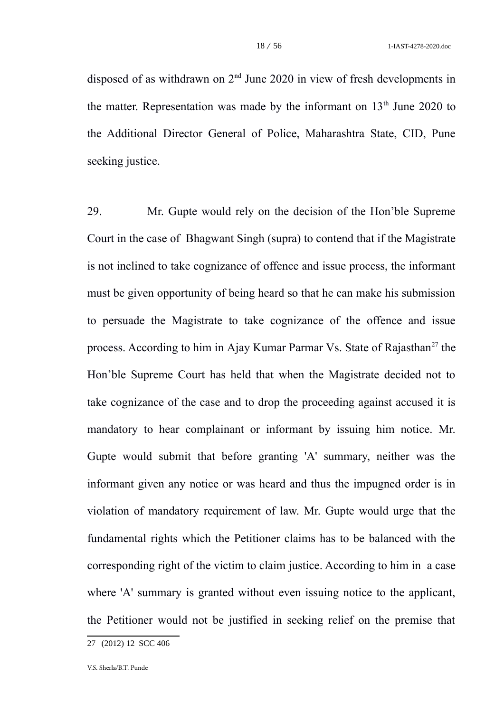disposed of as withdrawn on  $2<sup>nd</sup>$  June 2020 in view of fresh developments in the matter. Representation was made by the informant on  $13<sup>th</sup>$  June 2020 to the Additional Director General of Police, Maharashtra State, CID, Pune seeking justice.

29. Mr. Gupte would rely on the decision of the Hon'ble Supreme Court in the case of Bhagwant Singh (supra) to contend that if the Magistrate is not inclined to take cognizance of offence and issue process, the informant must be given opportunity of being heard so that he can make his submission to persuade the Magistrate to take cognizance of the offence and issue process. According to him in Ajay Kumar Parmar Vs. State of Rajasthan<sup>[27](#page-17-0)</sup> the Hon'ble Supreme Court has held that when the Magistrate decided not to take cognizance of the case and to drop the proceeding against accused it is mandatory to hear complainant or informant by issuing him notice. Mr. Gupte would submit that before granting 'A' summary, neither was the informant given any notice or was heard and thus the impugned order is in violation of mandatory requirement of law. Mr. Gupte would urge that the fundamental rights which the Petitioner claims has to be balanced with the corresponding right of the victim to claim justice. According to him in a case where 'A' summary is granted without even issuing notice to the applicant, the Petitioner would not be justified in seeking relief on the premise that

<span id="page-17-0"></span><sup>27</sup> (2012) 12 SCC 406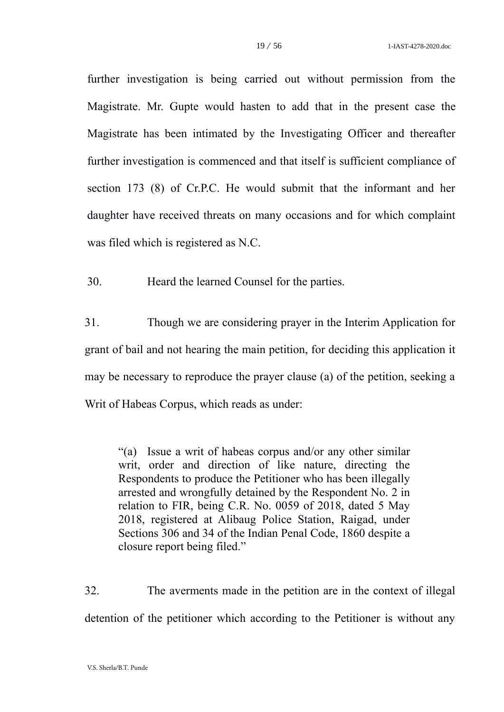further investigation is being carried out without permission from the Magistrate. Mr. Gupte would hasten to add that in the present case the Magistrate has been intimated by the Investigating Officer and thereafter further investigation is commenced and that itself is sufficient compliance of section 173 (8) of Cr.P.C. He would submit that the informant and her daughter have received threats on many occasions and for which complaint was filed which is registered as N.C.

30. Heard the learned Counsel for the parties.

31. Though we are considering prayer in the Interim Application for grant of bail and not hearing the main petition, for deciding this application it may be necessary to reproduce the prayer clause (a) of the petition, seeking a Writ of Habeas Corpus, which reads as under:

"(a) Issue a writ of habeas corpus and/or any other similar writ, order and direction of like nature, directing the Respondents to produce the Petitioner who has been illegally arrested and wrongfully detained by the Respondent No. 2 in relation to FIR, being C.R. No. 0059 of 2018, dated 5 May 2018, registered at Alibaug Police Station, Raigad, under Sections 306 and 34 of the Indian Penal Code, 1860 despite a closure report being filed."

32. The averments made in the petition are in the context of illegal detention of the petitioner which according to the Petitioner is without any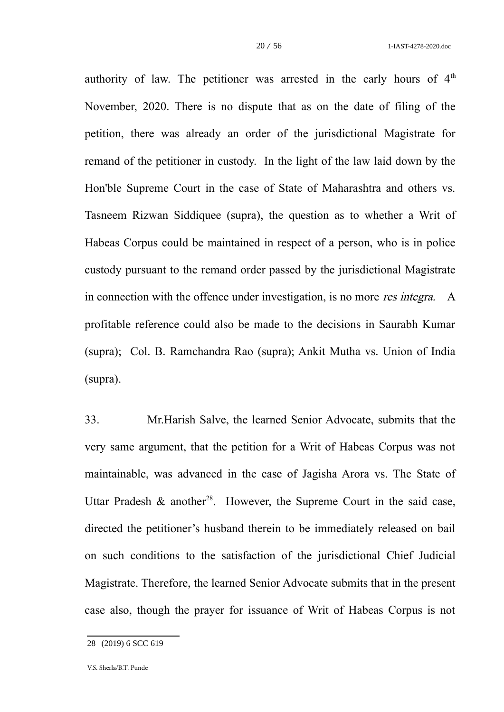authority of law. The petitioner was arrested in the early hours of  $4<sup>th</sup>$ November, 2020. There is no dispute that as on the date of filing of the petition, there was already an order of the jurisdictional Magistrate for remand of the petitioner in custody. In the light of the law laid down by the Hon'ble Supreme Court in the case of State of Maharashtra and others vs. Tasneem Rizwan Siddiquee (supra), the question as to whether a Writ of Habeas Corpus could be maintained in respect of a person, who is in police custody pursuant to the remand order passed by the jurisdictional Magistrate in connection with the offence under investigation, is no more *res integra*. A profitable reference could also be made to the decisions in Saurabh Kumar (supra); Col. B. Ramchandra Rao (supra); Ankit Mutha vs. Union of India (supra).

33. Mr.Harish Salve, the learned Senior Advocate, submits that the very same argument, that the petition for a Writ of Habeas Corpus was not maintainable, was advanced in the case of Jagisha Arora vs. The State of Uttar Pradesh & another<sup>[28](#page-19-0)</sup>. However, the Supreme Court in the said case, directed the petitioner's husband therein to be immediately released on bail on such conditions to the satisfaction of the jurisdictional Chief Judicial Magistrate. Therefore, the learned Senior Advocate submits that in the present case also, though the prayer for issuance of Writ of Habeas Corpus is not

<span id="page-19-0"></span><sup>28</sup> (2019) 6 SCC 619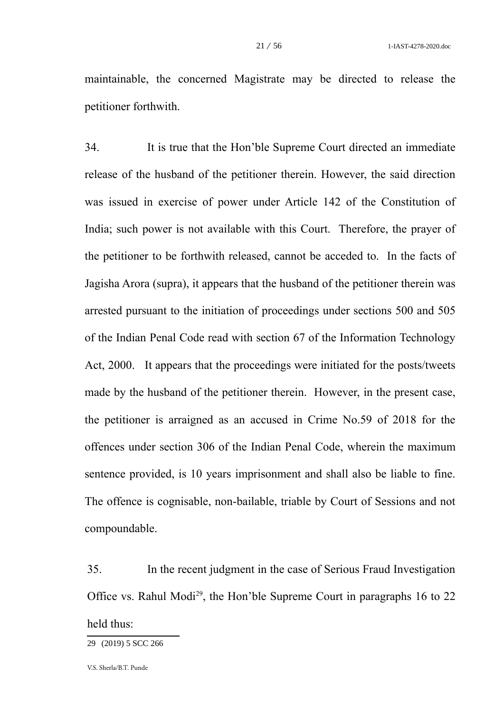maintainable, the concerned Magistrate may be directed to release the petitioner forthwith.

34. It is true that the Hon'ble Supreme Court directed an immediate release of the husband of the petitioner therein. However, the said direction was issued in exercise of power under Article 142 of the Constitution of India; such power is not available with this Court. Therefore, the prayer of the petitioner to be forthwith released, cannot be acceded to. In the facts of Jagisha Arora (supra), it appears that the husband of the petitioner therein was arrested pursuant to the initiation of proceedings under sections 500 and 505 of the Indian Penal Code read with section 67 of the Information Technology Act, 2000. It appears that the proceedings were initiated for the posts/tweets made by the husband of the petitioner therein. However, in the present case, the petitioner is arraigned as an accused in Crime No.59 of 2018 for the offences under section 306 of the Indian Penal Code, wherein the maximum sentence provided, is 10 years imprisonment and shall also be liable to fine. The offence is cognisable, non-bailable, triable by Court of Sessions and not compoundable.

35. In the recent judgment in the case of Serious Fraud Investigation Office vs. Rahul Modi<sup>[29](#page-20-0)</sup>, the Hon'ble Supreme Court in paragraphs 16 to 22 held thus:

<span id="page-20-0"></span><sup>29</sup> (2019) 5 SCC 266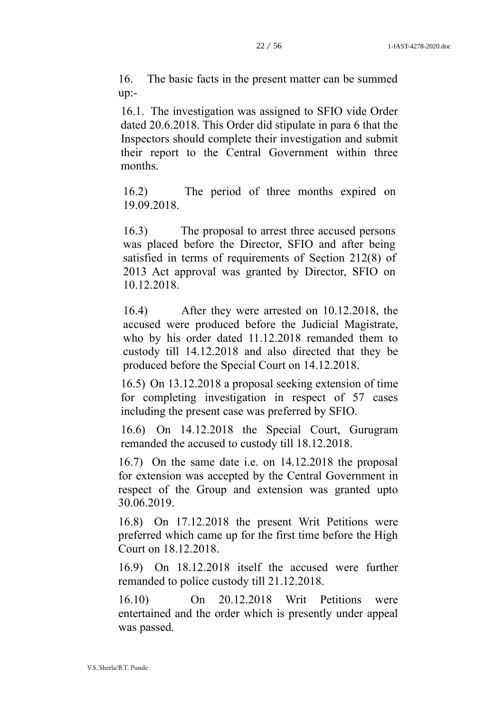16. The basic facts in the present matter can be summed up:-

16.1. The investigation was assigned to SFIO vide Order dated 20.6.2018. This Order did stipulate in para 6 that the Inspectors should complete their investigation and submit their report to the Central Government within three months.

16.2) The period of three months expired on 19.09.2018.

16.3) The proposal to arrest three accused persons was placed before the Director, SFIO and after being satisfied in terms of requirements of [Section 212\(8\)](https://indiankanoon.org/doc/1447696/) of 2013 Act approval was granted by Director, SFIO on 10.12.2018.

16.4) After they were arrested on 10.12.2018, the accused were produced before the Judicial Magistrate, who by his order dated 11.12.2018 remanded them to custody till 14.12.2018 and also directed that they be produced before the Special Court on 14.12.2018.

16.5) On 13.12.2018 a proposal seeking extension of time for completing investigation in respect of 57 cases including the present case was preferred by SFIO.

16.6) On 14.12.2018 the Special Court, Gurugram remanded the accused to custody till 18.12.2018.

16.7) On the same date i.e. on 14.12.2018 the proposal for extension was accepted by the Central Government in respect of the Group and extension was granted upto 30.06.2019.

16.8) On 17.12.2018 the present Writ Petitions were preferred which came up for the first time before the High Court on 18.12.2018.

16.9) On 18.12.2018 itself the accused were further remanded to police custody till 21.12.2018.

16.10) On 20.12.2018 Writ Petitions were entertained and the order which is presently under appeal was passed.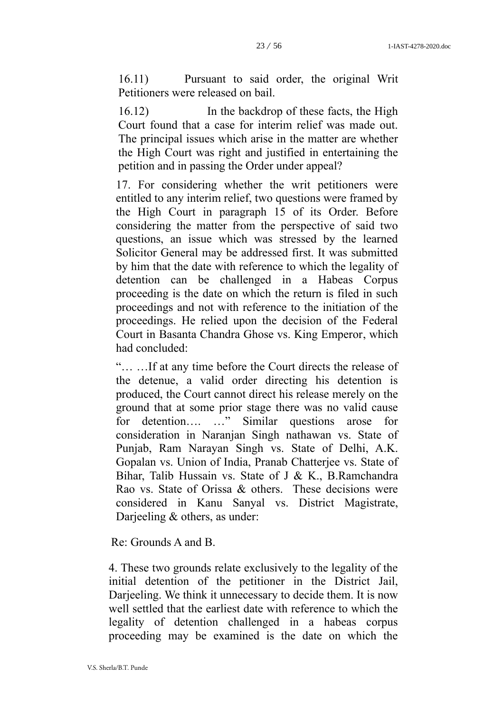16.11) Pursuant to said order, the original Writ Petitioners were released on bail.

16.12) In the backdrop of these facts, the High Court found that a case for interim relief was made out. The principal issues which arise in the matter are whether the High Court was right and justified in entertaining the petition and in passing the Order under appeal?

17. For considering whether the writ petitioners were entitled to any interim relief, two questions were framed by the High Court in paragraph 15 of its Order. Before considering the matter from the perspective of said two questions, an issue which was stressed by the learned Solicitor General may be addressed first. It was submitted by him that the date with reference to which the legality of detention can be challenged in a Habeas Corpus proceeding is the date on which the return is filed in such proceedings and not with reference to the initiation of the proceedings. He relied upon the decision of the Federal Court in [Basanta Chandra Ghose vs. King Emperor,](https://indiankanoon.org/doc/1676875/) which had concluded:

"… …If at any time before the Court directs the release of the detenue, a valid order directing his detention is produced, the Court cannot direct his release merely on the ground that at some prior stage there was no valid cause for detention…. …" Similar questions arose for consideration in Naranjan Singh nathawan vs. State of Punjab, Ram Narayan Singh vs. State of Delhi, A.K. Gopalan vs. Union of India, Pranab Chatterjee vs. State of Bihar, Talib Hussain vs. State of J & K., B.Ramchandra Rao vs. State of Orissa & others. These decisions were considered in Kanu Sanyal vs. District Magistrate, Darjeeling & others, as under:

Re: Grounds A and B.

4. These two grounds relate exclusively to the legality of the initial detention of the petitioner in the District Jail, Darjeeling. We think it unnecessary to decide them. It is now well settled that the earliest date with reference to which the legality of detention challenged in a habeas corpus proceeding may be examined is the date on which the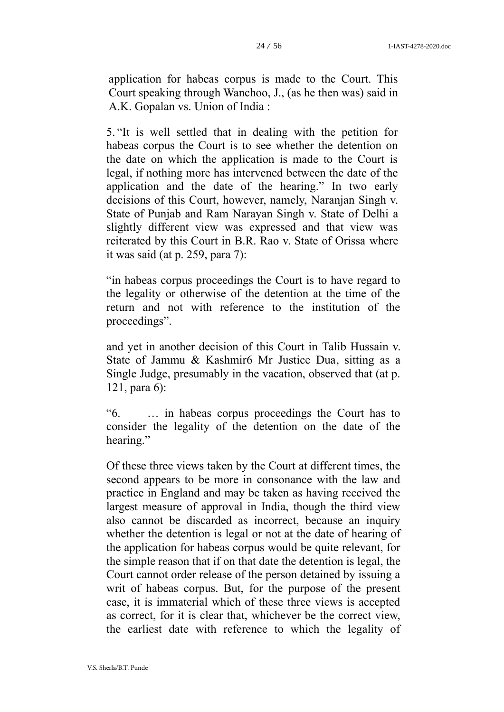application for habeas corpus is made to the Court. This Court speaking through Wanchoo, J., (as he then was) said in A.K. Gopalan vs. Union of India :

5. "It is well settled that in dealing with the petition for habeas corpus the Court is to see whether the detention on the date on which the application is made to the Court is legal, if nothing more has intervened between the date of the application and the date of the hearing." In two early decisions of this Court, however, namely, [Naranjan Singh v.](https://indiankanoon.org/doc/148612/) [State of Punjab](https://indiankanoon.org/doc/148612/) and [Ram Narayan Singh v. State of Delhi](https://indiankanoon.org/doc/623555/) a slightly different view was expressed and that view was reiterated by this Court in [B.R. Rao v. State of Orissa](https://indiankanoon.org/doc/1014650/) where it was said (at p. 259, para 7):

"in habeas corpus proceedings the Court is to have regard to the legality or otherwise of the detention at the time of the return and not with reference to the institution of the proceedings".

and yet in another decision of this Court in [Talib Hussain v.](https://indiankanoon.org/doc/750545/) [State of Jammu & Kashmir6 Mr Justice Dua,](https://indiankanoon.org/doc/750545/) sitting as a Single Judge, presumably in the vacation, observed that (at p. 121, para 6):

"6. … in habeas corpus proceedings the Court has to consider the legality of the detention on the date of the hearing."

Of these three views taken by the Court at different times, the second appears to be more in consonance with the law and practice in England and may be taken as having received the largest measure of approval in India, though the third view also cannot be discarded as incorrect, because an inquiry whether the detention is legal or not at the date of hearing of the application for habeas corpus would be quite relevant, for the simple reason that if on that date the detention is legal, the Court cannot order release of the person detained by issuing a writ of habeas corpus. But, for the purpose of the present case, it is immaterial which of these three views is accepted as correct, for it is clear that, whichever be the correct view, the earliest date with reference to which the legality of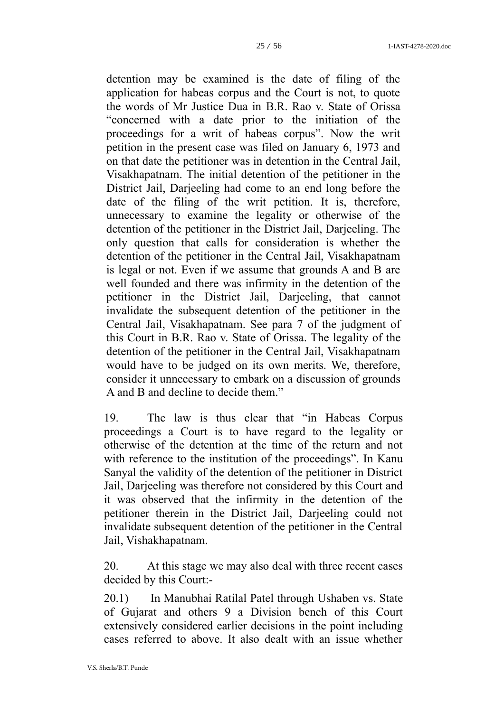detention may be examined is the date of filing of the application for habeas corpus and the Court is not, to quote the words of Mr Justice Dua in [B.R. Rao v. State of Orissa](https://indiankanoon.org/doc/1014650/) "concerned with a date prior to the initiation of the proceedings for a writ of habeas corpus". Now the writ petition in the present case was filed on January 6, 1973 and on that date the petitioner was in detention in the Central Jail, Visakhapatnam. The initial detention of the petitioner in the District Jail, Darjeeling had come to an end long before the date of the filing of the writ petition. It is, therefore, unnecessary to examine the legality or otherwise of the detention of the petitioner in the District Jail, Darjeeling. The only question that calls for consideration is whether the detention of the petitioner in the Central Jail, Visakhapatnam is legal or not. Even if we assume that grounds A and B are well founded and there was infirmity in the detention of the petitioner in the District Jail, Darjeeling, that cannot invalidate the subsequent detention of the petitioner in the Central Jail, Visakhapatnam. See para 7 of the judgment of this Court in [B.R. Rao v. State of Orissa.](https://indiankanoon.org/doc/1014650/) The legality of the detention of the petitioner in the Central Jail, Visakhapatnam would have to be judged on its own merits. We, therefore, consider it unnecessary to embark on a discussion of grounds A and B and decline to decide them."

19. The law is thus clear that "in Habeas Corpus proceedings a Court is to have regard to the legality or otherwise of the detention at the time of the return and not with reference to the institution of the proceedings". In Kanu Sanyal the validity of the detention of the petitioner in District Jail, Darjeeling was therefore not considered by this Court and it was observed that the infirmity in the detention of the petitioner therein in the District Jail, Darjeeling could not invalidate subsequent detention of the petitioner in the Central Jail, Vishakhapatnam.

20. At this stage we may also deal with three recent cases decided by this Court:-

20.1) In Manubhai Ratilal Patel through [Ushaben vs. State](https://indiankanoon.org/doc/53510844/) [of Gujarat and others](https://indiankanoon.org/doc/53510844/) 9 a Division bench of this Court extensively considered earlier decisions in the point including cases referred to above. It also dealt with an issue whether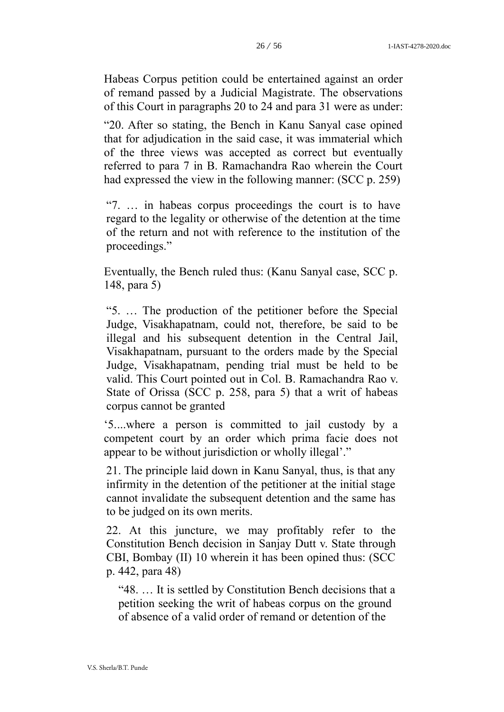Habeas Corpus petition could be entertained against an order of remand passed by a Judicial Magistrate. The observations of this Court in paragraphs 20 to 24 and para 31 were as under:

"20. After so stating, the Bench in Kanu Sanyal case opined that for adjudication in the said case, it was immaterial which of the three views was accepted as correct but eventually referred to para 7 in B. Ramachandra Rao wherein the Court had expressed the view in the following manner: (SCC p. 259)

"7. … in habeas corpus proceedings the court is to have regard to the legality or otherwise of the detention at the time of the return and not with reference to the institution of the proceedings."

Eventually, the Bench ruled thus: (Kanu Sanyal case, SCC p. 148, para 5)

"5. … The production of the petitioner before the Special Judge, Visakhapatnam, could not, therefore, be said to be illegal and his subsequent detention in the Central Jail, Visakhapatnam, pursuant to the orders made by the Special Judge, Visakhapatnam, pending trial must be held to be valid. This Court pointed out in Col. [B. Ramachandra Rao v.](https://indiankanoon.org/doc/1271836/) [State of Orissa](https://indiankanoon.org/doc/1271836/) (SCC p. 258, para 5) that a writ of habeas corpus cannot be granted

'5....where a person is committed to jail custody by a competent court by an order which prima facie does not appear to be without jurisdiction or wholly illegal'."

21. The principle laid down in Kanu Sanyal, thus, is that any infirmity in the detention of the petitioner at the initial stage cannot invalidate the subsequent detention and the same has to be judged on its own merits.

22. At this juncture, we may profitably refer to the Constitution Bench decision in [Sanjay Dutt v. State](https://indiankanoon.org/doc/51738625/) through CBI, Bombay (II) 10 wherein it has been opined thus: (SCC p. 442, para 48)

"48. … It is settled by Constitution Bench decisions that a petition seeking the writ of habeas corpus on the ground of absence of a valid order of remand or detention of the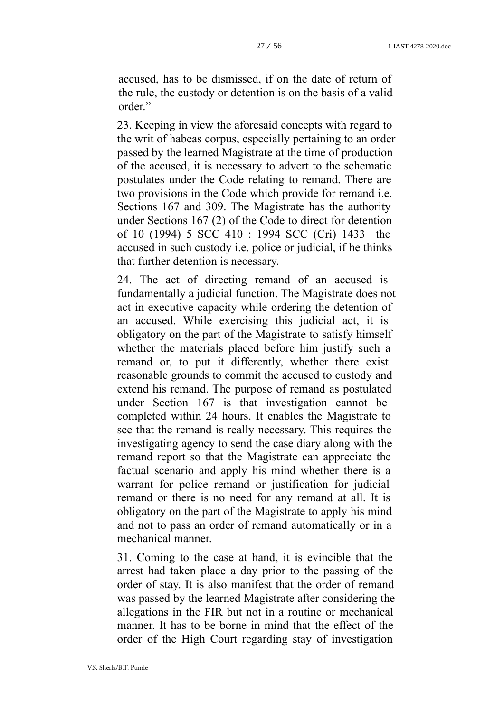accused, has to be dismissed, if on the date of return of the rule, the custody or detention is on the basis of a valid order."

23. Keeping in view the aforesaid concepts with regard to the writ of habeas corpus, especially pertaining to an order passed by the learned Magistrate at the time of production of the accused, it is necessary to advert to the schematic postulates under [the Code](https://indiankanoon.org/doc/1233094/) relating to remand. There are two provisions in [the Code](https://indiankanoon.org/doc/1233094/) which provide for remand i.e. Sections 167 and 309. The Magistrate has the authority under Sections 167 (2) of the Code to direct for detention of 10 (1994) 5 SCC 410 : 1994 SCC (Cri) 1433 the accused in such custody i.e. police or judicial, if he thinks that further detention is necessary.

24. The act of directing remand of an accused is fundamentally a judicial function. The Magistrate does not act in executive capacity while ordering the detention of an accused. While exercising this judicial act, it is obligatory on the part of the Magistrate to satisfy himself whether the materials placed before him justify such a remand or, to put it differently, whether there exist reasonable grounds to commit the accused to custody and extend his remand. The purpose of remand as postulated under [Section 167](https://indiankanoon.org/doc/1236453/) is that investigation cannot be completed within 24 hours. It enables the Magistrate to see that the remand is really necessary. This requires the investigating agency to send the case diary along with the remand report so that the Magistrate can appreciate the factual scenario and apply his mind whether there is a warrant for police remand or justification for judicial remand or there is no need for any remand at all. It is obligatory on the part of the Magistrate to apply his mind and not to pass an order of remand automatically or in a mechanical manner.

31. Coming to the case at hand, it is evincible that the arrest had taken place a day prior to the passing of the order of stay. It is also manifest that the order of remand was passed by the learned Magistrate after considering the allegations in the FIR but not in a routine or mechanical manner. It has to be borne in mind that the effect of the order of the High Court regarding stay of investigation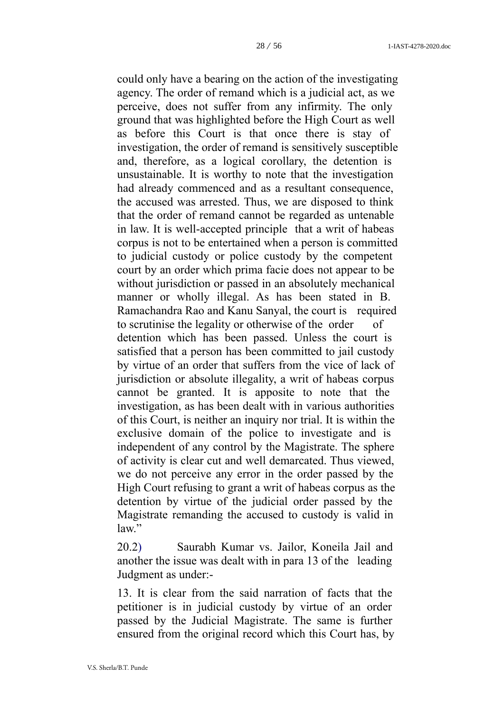could only have a bearing on the action of the investigating agency. The order of remand which is a judicial act, as we perceive, does not suffer from any infirmity. The only ground that was highlighted before the High Court as well as before this Court is that once there is stay of investigation, the order of remand is sensitively susceptible and, therefore, as a logical corollary, the detention is unsustainable. It is worthy to note that the investigation had already commenced and as a resultant consequence, the accused was arrested. Thus, we are disposed to think that the order of remand cannot be regarded as untenable in law. It is well-accepted principle that a writ of habeas corpus is not to be entertained when a person is committed to judicial custody or police custody by the competent court by an order which prima facie does not appear to be without jurisdiction or passed in an absolutely mechanical manner or wholly illegal. As has been stated in B. Ramachandra Rao and Kanu Sanyal, the court is required to scrutinise the legality or otherwise of the order of detention which has been passed. Unless the court is satisfied that a person has been committed to jail custody by virtue of an order that suffers from the vice of lack of jurisdiction or absolute illegality, a writ of habeas corpus cannot be granted. It is apposite to note that the investigation, as has been dealt with in various authorities of this Court, is neither an inquiry nor trial. It is within the exclusive domain of the police to investigate and is independent of any control by the Magistrate. The sphere of activity is clear cut and well demarcated. Thus viewed, we do not perceive any error in the order passed by the High Court refusing to grant a writ of habeas corpus as the detention by virtue of the judicial order passed by the Magistrate remanding the accused to custody is valid in law."

20.[2\) Saurabh Kumar vs. Jailor, Koneila Jail and](https://indiankanoon.org/doc/118760660/)  [another](https://indiankanoon.org/doc/118760660/) the issue was dealt with in para 13 of the leading Judgment as under:-

13. It is clear from the said narration of facts that the petitioner is in judicial custody by virtue of an order passed by the Judicial Magistrate. The same is further ensured from the original record which this Court has, by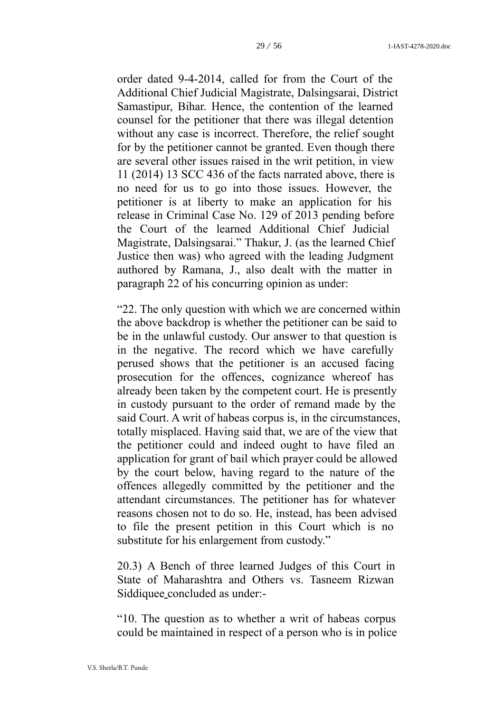order dated 9-4-2014, called for from the Court of the Additional Chief Judicial Magistrate, Dalsingsarai, District Samastipur, Bihar. Hence, the contention of the learned counsel for the petitioner that there was illegal detention without any case is incorrect. Therefore, the relief sought for by the petitioner cannot be granted. Even though there are several other issues raised in the writ petition, in view 11 (2014) 13 SCC 436 of the facts narrated above, there is no need for us to go into those issues. However, the petitioner is at liberty to make an application for his release in Criminal Case No. 129 of 2013 pending before the Court of the learned Additional Chief Judicial Magistrate, Dalsingsarai." Thakur, J. (as the learned Chief Justice then was) who agreed with the leading Judgment authored by Ramana, J., also dealt with the matter in paragraph 22 of his concurring opinion as under:

"22. The only question with which we are concerned within the above backdrop is whether the petitioner can be said to be in the unlawful custody. Our answer to that question is in the negative. The record which we have carefully perused shows that the petitioner is an accused facing prosecution for the offences, cognizance whereof has already been taken by the competent court. He is presently in custody pursuant to the order of remand made by the said Court. A writ of habeas corpus is, in the circumstances, totally misplaced. Having said that, we are of the view that the petitioner could and indeed ought to have filed an application for grant of bail which prayer could be allowed by the court below, having regard to the nature of the offences allegedly committed by the petitioner and the attendant circumstances. The petitioner has for whatever reasons chosen not to do so. He, instead, has been advised to file the present petition in this Court which is no substitute for his enlargement from custody."

20.3) A Bench of three learned Judges of this Court in [State of Maharashtra and Others vs. Tasneem Rizwan](https://indiankanoon.org/doc/100407809/)  [Siddiquee](https://indiankanoon.org/doc/100407809/) concluded as under:-

"10. The question as to whether a writ of habeas corpus could be maintained in respect of a person who is in police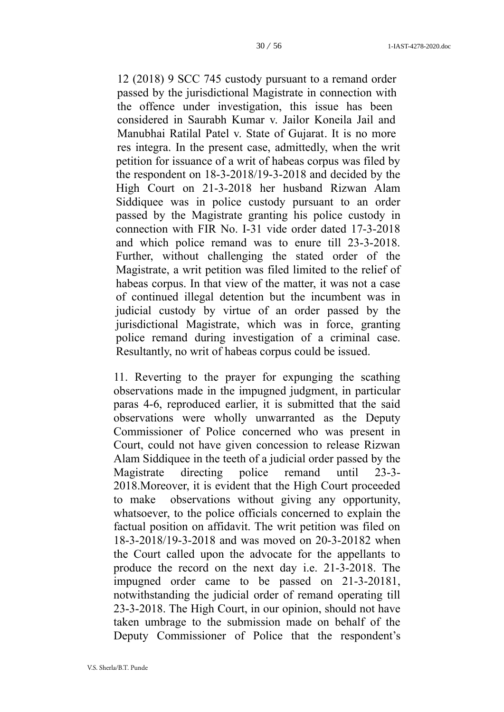12 (2018) 9 SCC 745 custody pursuant to a remand order passed by the jurisdictional Magistrate in connection with the offence under investigation, this issue has been considered in [Saurabh Kumar v. Jailor](https://indiankanoon.org/doc/118760660/) [Koneila Jail and](https://indiankanoon.org/doc/53510844/)  [Manubhai Ratilal Patel v. State of Gujarat.](https://indiankanoon.org/doc/53510844/) It is no more res integra. In the present case, admittedly, when the writ petition for issuance of a writ of habeas corpus was filed by the respondent on 18-3-2018/19-3-2018 and decided by the High Court on 21-3-2018 her husband Rizwan Alam Siddiquee was in police custody pursuant to an order passed by the Magistrate granting his police custody in connection with FIR No. I-31 vide order dated 17-3-2018 and which police remand was to enure till 23-3-2018. Further, without challenging the stated order of the Magistrate, a writ petition was filed limited to the relief of habeas corpus. In that view of the matter, it was not a case of continued illegal detention but the incumbent was in judicial custody by virtue of an order passed by the jurisdictional Magistrate, which was in force, granting police remand during investigation of a criminal case. Resultantly, no writ of habeas corpus could be issued.

11. Reverting to the prayer for expunging the scathing observations made in the impugned judgment, in particular paras 4-6, reproduced earlier, it is submitted that the said observations were wholly unwarranted as the Deputy Commissioner of Police concerned who was present in Court, could not have given concession to release Rizwan Alam Siddiquee in the teeth of a judicial order passed by the Magistrate directing police remand until 23-3- 2018.Moreover, it is evident that the High Court proceeded to make observations without giving any opportunity, whatsoever, to the police officials concerned to explain the factual position on affidavit. The writ petition was filed on 18-3-2018/19-3-2018 and was moved on 20-3-20182 when the Court called upon the advocate for the appellants to produce the record on the next day i.e. 21-3-2018. The impugned order came to be passed on 21-3-20181, notwithstanding the judicial order of remand operating till 23-3-2018. The High Court, in our opinion, should not have taken umbrage to the submission made on behalf of the Deputy Commissioner of Police that the respondent's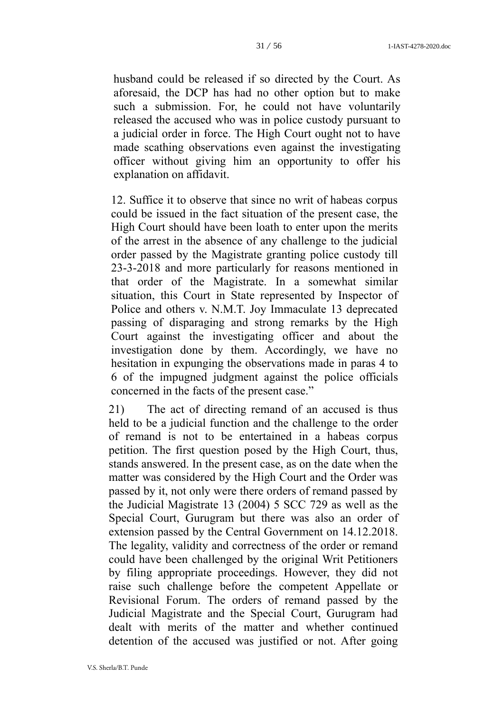husband could be released if so directed by the Court. As aforesaid, the DCP has had no other option but to make such a submission. For, he could not have voluntarily released the accused who was in police custody pursuant to a judicial order in force. The High Court ought not to have made scathing observations even against the investigating officer without giving him an opportunity to offer his explanation on affidavit.

12. Suffice it to observe that since no writ of habeas corpus could be issued in the fact situation of the present case, the High Court should have been loath to enter upon the merits of the arrest in the absence of any challenge to the judicial order passed by the Magistrate granting police custody till 23-3-2018 and more particularly for reasons mentioned in that order of the Magistrate. In a somewhat similar situation, this Court in State represented by Inspector of Police and others v. N.M.T. Joy Immaculate 13 deprecated passing of disparaging and strong remarks by the High Court against the investigating officer and about the investigation done by them. Accordingly, we have no hesitation in expunging the observations made in paras 4 to 6 of the impugned judgment against the police officials concerned in the facts of the present case."

21) The act of directing remand of an accused is thus held to be a judicial function and the challenge to the order of remand is not to be entertained in a habeas corpus petition. The first question posed by the High Court, thus, stands answered. In the present case, as on the date when the matter was considered by the High Court and the Order was passed by it, not only were there orders of remand passed by the Judicial Magistrate 13 (2004) 5 SCC 729 as well as the Special Court, Gurugram but there was also an order of extension passed by the Central Government on 14.12.2018. The legality, validity and correctness of the order or remand could have been challenged by the original Writ Petitioners by filing appropriate proceedings. However, they did not raise such challenge before the competent Appellate or Revisional Forum. The orders of remand passed by the Judicial Magistrate and the Special Court, Gurugram had dealt with merits of the matter and whether continued detention of the accused was justified or not. After going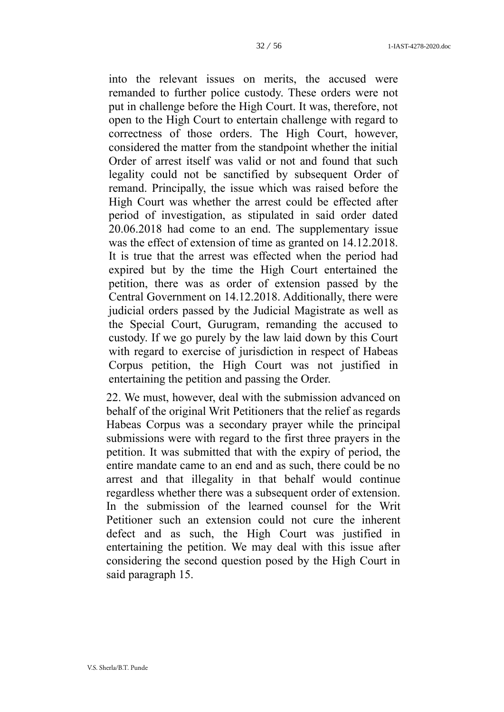into the relevant issues on merits, the accused were remanded to further police custody. These orders were not put in challenge before the High Court. It was, therefore, not open to the High Court to entertain challenge with regard to correctness of those orders. The High Court, however, considered the matter from the standpoint whether the initial Order of arrest itself was valid or not and found that such legality could not be sanctified by subsequent Order of remand. Principally, the issue which was raised before the High Court was whether the arrest could be effected after period of investigation, as stipulated in said order dated 20.06.2018 had come to an end. The supplementary issue was the effect of extension of time as granted on 14.12.2018. It is true that the arrest was effected when the period had expired but by the time the High Court entertained the petition, there was as order of extension passed by the Central Government on 14.12.2018. Additionally, there were judicial orders passed by the Judicial Magistrate as well as the Special Court, Gurugram, remanding the accused to custody. If we go purely by the law laid down by this Court with regard to exercise of jurisdiction in respect of Habeas Corpus petition, the High Court was not justified in entertaining the petition and passing the Order.

22. We must, however, deal with the submission advanced on behalf of the original Writ Petitioners that the relief as regards Habeas Corpus was a secondary prayer while the principal submissions were with regard to the first three prayers in the petition. It was submitted that with the expiry of period, the entire mandate came to an end and as such, there could be no arrest and that illegality in that behalf would continue regardless whether there was a subsequent order of extension. In the submission of the learned counsel for the Writ Petitioner such an extension could not cure the inherent defect and as such, the High Court was justified in entertaining the petition. We may deal with this issue after considering the second question posed by the High Court in said paragraph 15.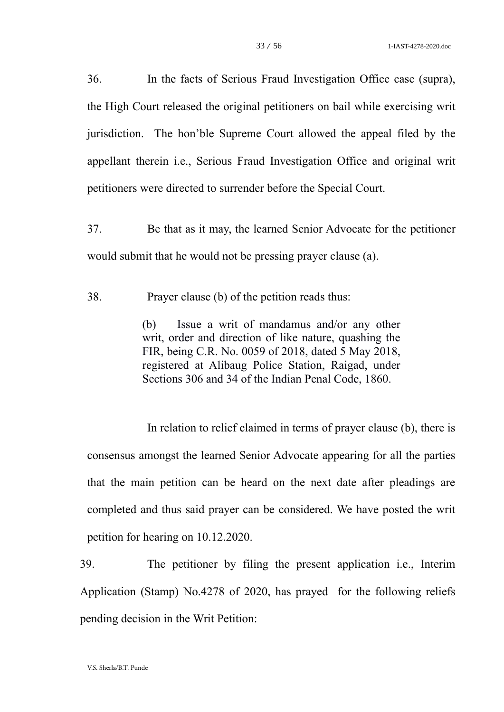36. In the facts of Serious Fraud Investigation Office case (supra), the High Court released the original petitioners on bail while exercising writ jurisdiction. The hon'ble Supreme Court allowed the appeal filed by the appellant therein i.e., Serious Fraud Investigation Office and original writ petitioners were directed to surrender before the Special Court.

37. Be that as it may, the learned Senior Advocate for the petitioner would submit that he would not be pressing prayer clause (a).

38. Prayer clause (b) of the petition reads thus:

(b) Issue a writ of mandamus and/or any other writ, order and direction of like nature, quashing the FIR, being C.R. No. 0059 of 2018, dated 5 May 2018, registered at Alibaug Police Station, Raigad, under Sections 306 and 34 of the Indian Penal Code, 1860.

In relation to relief claimed in terms of prayer clause (b), there is consensus amongst the learned Senior Advocate appearing for all the parties that the main petition can be heard on the next date after pleadings are completed and thus said prayer can be considered. We have posted the writ petition for hearing on 10.12.2020.

39. The petitioner by filing the present application i.e., Interim Application (Stamp) No.4278 of 2020, has prayed for the following reliefs pending decision in the Writ Petition: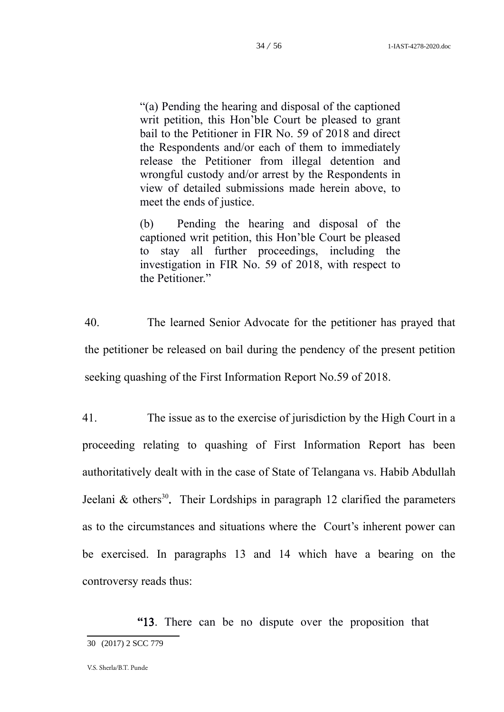"(a) Pending the hearing and disposal of the captioned writ petition, this Hon'ble Court be pleased to grant bail to the Petitioner in FIR No. 59 of 2018 and direct the Respondents and/or each of them to immediately release the Petitioner from illegal detention and wrongful custody and/or arrest by the Respondents in view of detailed submissions made herein above, to meet the ends of justice.

(b) Pending the hearing and disposal of the captioned writ petition, this Hon'ble Court be pleased to stay all further proceedings, including the investigation in FIR No. 59 of 2018, with respect to the Petitioner."

40. The learned Senior Advocate for the petitioner has prayed that the petitioner be released on bail during the pendency of the present petition seeking quashing of the First Information Report No.59 of 2018.

41. The issue as to the exercise of jurisdiction by the High Court in a proceeding relating to quashing of First Information Report has been authoritatively dealt with in the case of State of Telangana vs. Habib Abdullah Jeelani & others<sup>[30](#page-33-0)</sup>. Their Lordships in paragraph 12 clarified the parameters as to the circumstances and situations where the Court's inherent power can be exercised. In paragraphs 13 and 14 which have a bearing on the controversy reads thus:

<span id="page-33-0"></span>"13. There can be no dispute over the proposition that 30 (2017) 2 SCC 779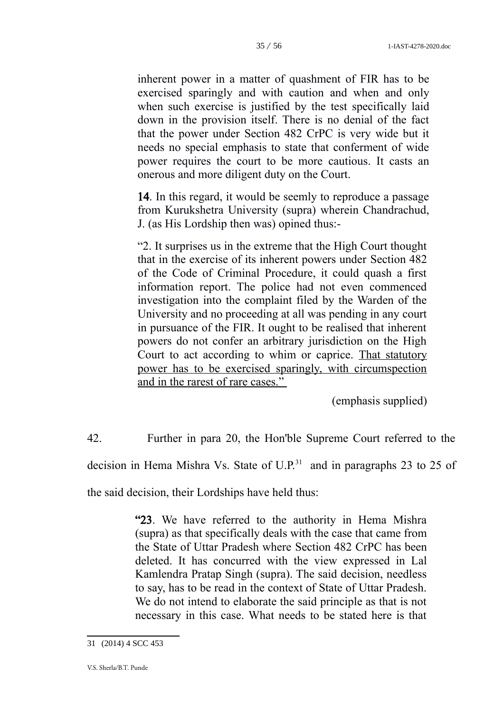inherent power in a matter of quashment of FIR has to be exercised sparingly and with caution and when and only when such exercise is justified by the test specifically laid down in the provision itself. There is no denial of the fact that the power under [Section 482](https://indiankanoon.org/doc/1679850/) CrPC is very wide but it needs no special emphasis to state that conferment of wide power requires the court to be more cautious. It casts an onerous and more diligent duty on the Court.

14. In this regard, it would be seemly to reproduce a passage from Kurukshetra University (supra) wherein Chandrachud, J. (as His Lordship then was) opined thus:-

"2. It surprises us in the extreme that the High Court thought that in the exercise of its inherent powers under Section 482 of the Code of Criminal Procedure, it could quash a first information report. The police had not even commenced investigation into the complaint filed by the Warden of the University and no proceeding at all was pending in any court in pursuance of the FIR. It ought to be realised that inherent powers do not confer an arbitrary jurisdiction on the High Court to act according to whim or caprice. That statutory power has to be exercised sparingly, with circumspection and in the rarest of rare cases."

(emphasis supplied)

42. Further in para 20, the Hon'ble Supreme Court referred to the

decision in Hema Mishra Vs. State of  $U.P.^31$  $U.P.^31$  and in paragraphs 23 to 25 of

the said decision, their Lordships have held thus:

"23. We have referred to the authority in Hema Mishra (supra) as that specifically deals with the case that came from the State of Uttar Pradesh where Section 482 CrPC has been deleted. It has concurred with the view expressed in Lal Kamlendra Pratap Singh (supra). The said decision, needless to say, has to be read in the context of State of Uttar Pradesh. We do not intend to elaborate the said principle as that is not necessary in this case. What needs to be stated here is that

<span id="page-34-0"></span><sup>31</sup> (2014) 4 SCC 453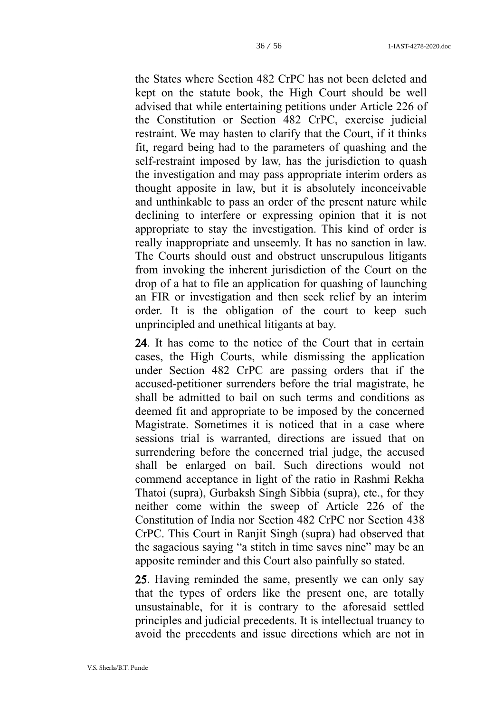the States where Section 482 CrPC has not been deleted and kept on the statute book, the High Court should be well advised that while entertaining petitions under Article 226 of the Constitution or Section 482 CrPC, exercise judicial restraint. We may hasten to clarify that the Court, if it thinks fit, regard being had to the parameters of quashing and the self-restraint imposed by law, has the jurisdiction to quash the investigation and may pass appropriate interim orders as thought apposite in law, but it is absolutely inconceivable and unthinkable to pass an order of the present nature while declining to interfere or expressing opinion that it is not appropriate to stay the investigation. This kind of order is really inappropriate and unseemly. It has no sanction in law. The Courts should oust and obstruct unscrupulous litigants from invoking the inherent jurisdiction of the Court on the drop of a hat to file an application for quashing of launching an FIR or investigation and then seek relief by an interim order. It is the obligation of the court to keep such unprincipled and unethical litigants at bay.

24. It has come to the notice of the Court that in certain cases, the High Courts, while dismissing the application under Section 482 CrPC are passing orders that if the accused-petitioner surrenders before the trial magistrate, he shall be admitted to bail on such terms and conditions as deemed fit and appropriate to be imposed by the concerned Magistrate. Sometimes it is noticed that in a case where sessions trial is warranted, directions are issued that on surrendering before the concerned trial judge, the accused shall be enlarged on bail. Such directions would not commend acceptance in light of the ratio in Rashmi Rekha Thatoi (supra), Gurbaksh Singh Sibbia (supra), etc., for they neither come within the sweep of Article 226 of the Constitution of India nor Section 482 CrPC nor Section 438 CrPC. This Court in Ranjit Singh (supra) had observed that the sagacious saying "a stitch in time saves nine" may be an apposite reminder and this Court also painfully so stated.

25. Having reminded the same, presently we can only say that the types of orders like the present one, are totally unsustainable, for it is contrary to the aforesaid settled principles and judicial precedents. It is intellectual truancy to avoid the precedents and issue directions which are not in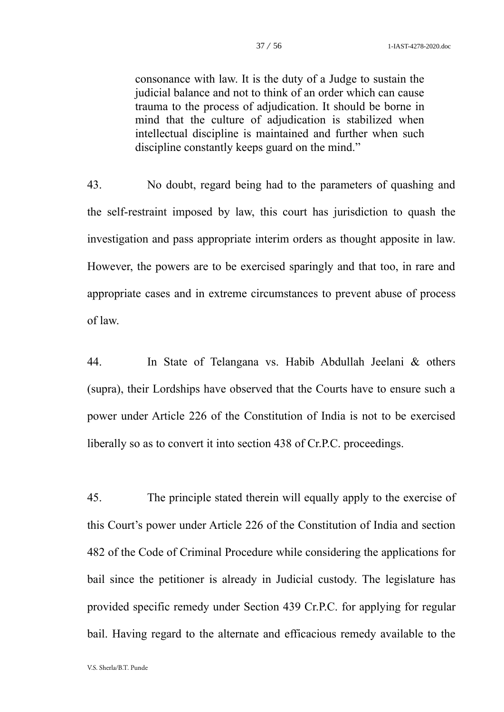consonance with law. It is the duty of a Judge to sustain the judicial balance and not to think of an order which can cause trauma to the process of adjudication. It should be borne in mind that the culture of adjudication is stabilized when intellectual discipline is maintained and further when such discipline constantly keeps guard on the mind."

43. No doubt, regard being had to the parameters of quashing and the self-restraint imposed by law, this court has jurisdiction to quash the investigation and pass appropriate interim orders as thought apposite in law. However, the powers are to be exercised sparingly and that too, in rare and appropriate cases and in extreme circumstances to prevent abuse of process of law.

44. In State of Telangana vs. Habib Abdullah Jeelani & others (supra), their Lordships have observed that the Courts have to ensure such a power under Article 226 of the Constitution of India is not to be exercised liberally so as to convert it into section 438 of Cr.P.C. proceedings.

45. The principle stated therein will equally apply to the exercise of this Court's power under Article 226 of the Constitution of India and section 482 of the Code of Criminal Procedure while considering the applications for bail since the petitioner is already in Judicial custody. The legislature has provided specific remedy under Section 439 Cr.P.C. for applying for regular bail. Having regard to the alternate and efficacious remedy available to the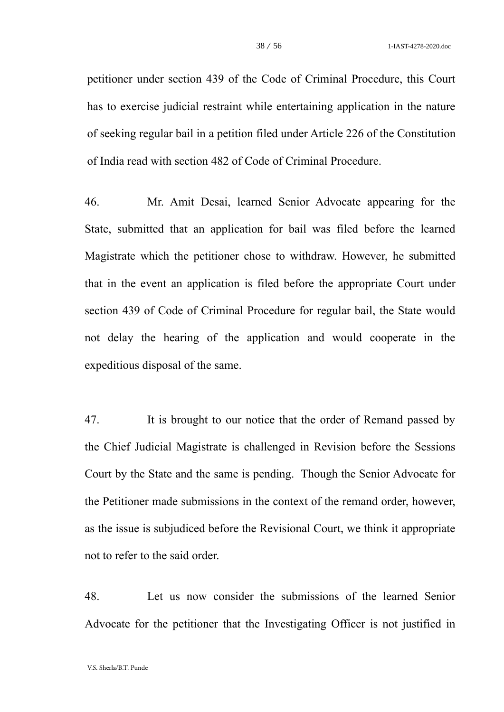petitioner under section 439 of the Code of Criminal Procedure, this Court has to exercise judicial restraint while entertaining application in the nature of seeking regular bail in a petition filed under Article 226 of the Constitution of India read with section 482 of Code of Criminal Procedure.

46. Mr. Amit Desai, learned Senior Advocate appearing for the State, submitted that an application for bail was filed before the learned Magistrate which the petitioner chose to withdraw. However, he submitted that in the event an application is filed before the appropriate Court under section 439 of Code of Criminal Procedure for regular bail, the State would not delay the hearing of the application and would cooperate in the expeditious disposal of the same.

47. It is brought to our notice that the order of Remand passed by the Chief Judicial Magistrate is challenged in Revision before the Sessions Court by the State and the same is pending. Though the Senior Advocate for the Petitioner made submissions in the context of the remand order, however, as the issue is subjudiced before the Revisional Court, we think it appropriate not to refer to the said order.

48. Let us now consider the submissions of the learned Senior Advocate for the petitioner that the Investigating Officer is not justified in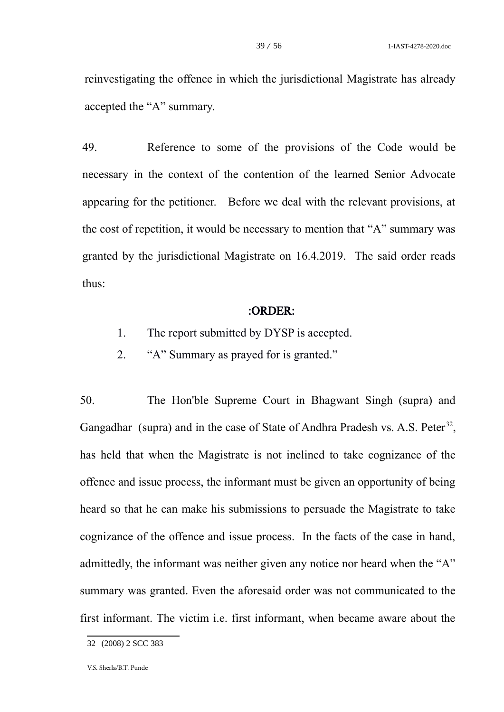reinvestigating the offence in which the jurisdictional Magistrate has already accepted the "A" summary.

49. Reference to some of the provisions of the Code would be necessary in the context of the contention of the learned Senior Advocate appearing for the petitioner. Before we deal with the relevant provisions, at the cost of repetition, it would be necessary to mention that "A" summary was granted by the jurisdictional Magistrate on 16.4.2019. The said order reads thus:

#### :ORDER:

- 1. The report submitted by DYSP is accepted.
- 2. "A" Summary as prayed for is granted."

50. The Hon'ble Supreme Court in Bhagwant Singh (supra) and Gangadhar (supra) and in the case of State of Andhra Pradesh vs. A.S. Peter<sup>[32](#page-38-0)</sup>, has held that when the Magistrate is not inclined to take cognizance of the offence and issue process, the informant must be given an opportunity of being heard so that he can make his submissions to persuade the Magistrate to take cognizance of the offence and issue process. In the facts of the case in hand, admittedly, the informant was neither given any notice nor heard when the "A" summary was granted. Even the aforesaid order was not communicated to the first informant. The victim i.e. first informant, when became aware about the

<span id="page-38-0"></span><sup>32</sup> (2008) 2 SCC 383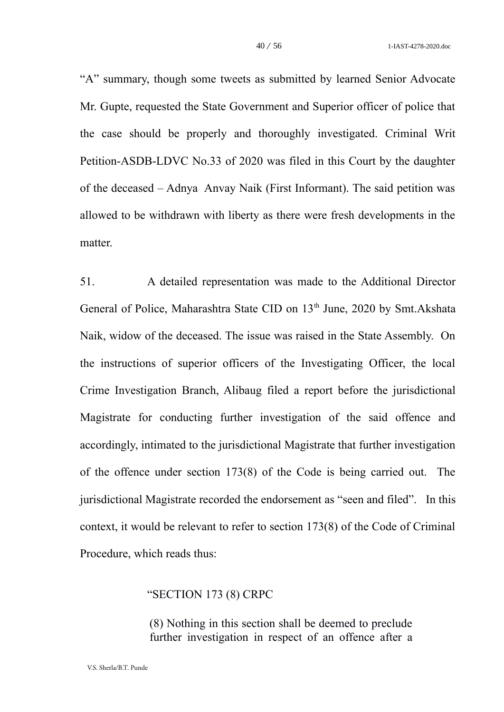"A" summary, though some tweets as submitted by learned Senior Advocate Mr. Gupte, requested the State Government and Superior officer of police that the case should be properly and thoroughly investigated. Criminal Writ Petition-ASDB-LDVC No.33 of 2020 was filed in this Court by the daughter of the deceased – Adnya Anvay Naik (First Informant). The said petition was allowed to be withdrawn with liberty as there were fresh developments in the matter.

51. A detailed representation was made to the Additional Director General of Police, Maharashtra State CID on 13<sup>th</sup> June, 2020 by Smt.Akshata Naik, widow of the deceased. The issue was raised in the State Assembly. On the instructions of superior officers of the Investigating Officer, the local Crime Investigation Branch, Alibaug filed a report before the jurisdictional Magistrate for conducting further investigation of the said offence and accordingly, intimated to the jurisdictional Magistrate that further investigation of the offence under section 173(8) of the Code is being carried out. The jurisdictional Magistrate recorded the endorsement as "seen and filed". In this context, it would be relevant to refer to section 173(8) of the Code of Criminal Procedure, which reads thus:

#### "SECTION 173 (8) CRPC

(8) Nothing in this section shall be deemed to preclude further investigation in respect of an offence after a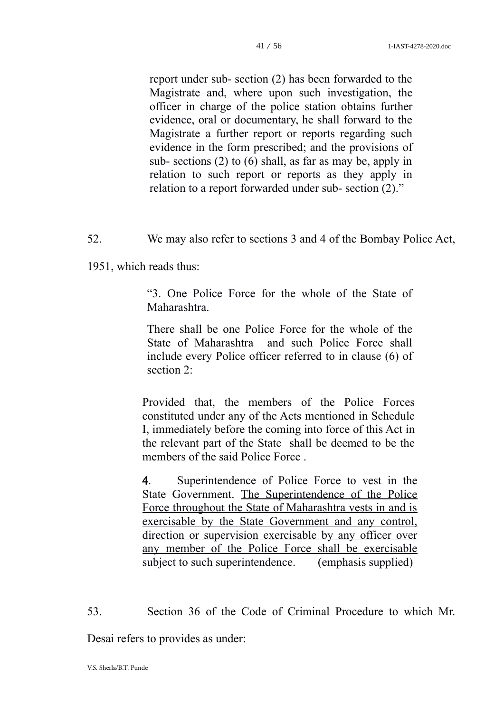report under sub- section (2) has been forwarded to the Magistrate and, where upon such investigation, the officer in charge of the police station obtains further evidence, oral or documentary, he shall forward to the Magistrate a further report or reports regarding such evidence in the form prescribed; and the provisions of sub- sections (2) to (6) shall, as far as may be, apply in relation to such report or reports as they apply in relation to a report forwarded under sub- section (2)."

52. We may also refer to sections 3 and 4 of the Bombay Police Act,

1951, which reads thus:

"3. One Police Force for the whole of the State of Maharashtra.

There shall be one Police Force for the whole of the State of Maharashtra and such Police Force shall include every Police officer referred to in clause (6) of section 2:

Provided that, the members of the Police Forces constituted under any of the Acts mentioned in Schedule I, immediately before the coming into force of this Act in the relevant part of the State shall be deemed to be the members of the said Police Force .

4. Superintendence of Police Force to vest in the State Government. The Superintendence of the Police Force throughout the State of Maharashtra vests in and is exercisable by the State Government and any control, direction or supervision exercisable by any officer over any member of the Police Force shall be exercisable subject to such superintendence. (emphasis supplied)

53. Section 36 of the Code of Criminal Procedure to which Mr.

Desai refers to provides as under: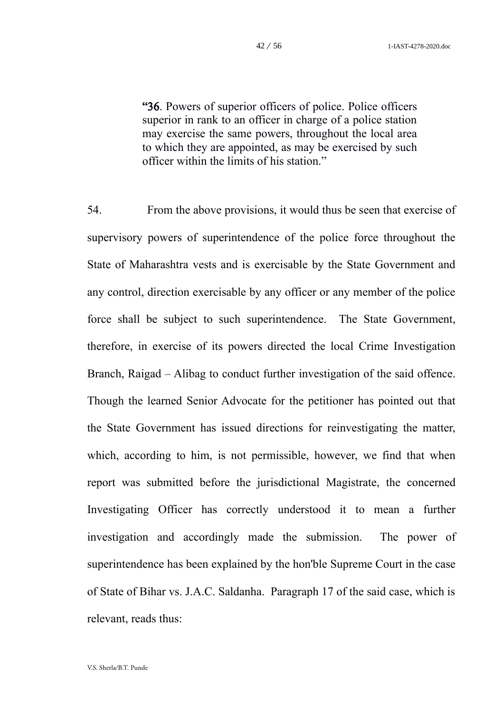"36. Powers of superior officers of police. Police officers superior in rank to an officer in charge of a police station may exercise the same powers, throughout the local area to which they are appointed, as may be exercised by such officer within the limits of his station."

54. From the above provisions, it would thus be seen that exercise of supervisory powers of superintendence of the police force throughout the State of Maharashtra vests and is exercisable by the State Government and any control, direction exercisable by any officer or any member of the police force shall be subject to such superintendence. The State Government, therefore, in exercise of its powers directed the local Crime Investigation Branch, Raigad – Alibag to conduct further investigation of the said offence. Though the learned Senior Advocate for the petitioner has pointed out that the State Government has issued directions for reinvestigating the matter, which, according to him, is not permissible, however, we find that when report was submitted before the jurisdictional Magistrate, the concerned Investigating Officer has correctly understood it to mean a further investigation and accordingly made the submission. The power of superintendence has been explained by the hon'ble Supreme Court in the case of State of Bihar vs. J.A.C. Saldanha. Paragraph 17 of the said case, which is relevant, reads thus: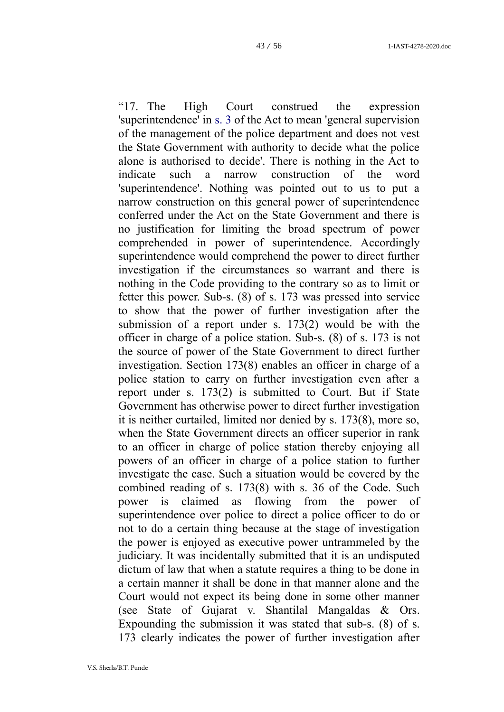"17. The High Court construed the expression 'superintendence' in [s. 3](https://indiankanoon.org/doc/900247/) of the Act to mean 'general supervision of the management of the police department and does not vest the State Government with authority to decide what the police alone is authorised to decide'. There is nothing in the Act to indicate such a narrow construction of the word 'superintendence'. Nothing was pointed out to us to put a narrow construction on this general power of superintendence conferred under the Act on the State Government and there is no justification for limiting the broad spectrum of power comprehended in power of superintendence. Accordingly superintendence would comprehend the power to direct further investigation if the circumstances so warrant and there is nothing i[n the Code](https://indiankanoon.org/doc/445276/) providing to the contrary so as to limit or fetter this power. Sub-s. (8) of [s. 173](https://indiankanoon.org/doc/1612841/) was pressed into service to show that the power of further investigation after the submission of a report under [s. 173\(2\)](https://indiankanoon.org/doc/1612841/) would be with the officer in charge of a police station. Sub-s. (8) of [s. 173](https://indiankanoon.org/doc/1612841/) is not the source of power of the State Government to direct further investigation. [Section 173\(8\)](https://indiankanoon.org/doc/1612841/) enables an officer in charge of a police station to carry on further investigation even after a report under [s. 173\(2\)](https://indiankanoon.org/doc/1612841/) is submitted to Court. But if State Government has otherwise power to direct further investigation it is neither curtailed, limited nor denied by s. 173(8), more so, when the State Government directs an officer superior in rank to an officer in charge of police station thereby enjoying all powers of an officer in charge of a police station to further investigate the case. Such a situation would be covered by the combined reading of [s. 173\(8\)](https://indiankanoon.org/doc/1612841/) with [s. 36](https://indiankanoon.org/doc/1013783/) of the Code. Such power is claimed as flowing from the power of superintendence over police to direct a police officer to do or not to do a certain thing because at the stage of investigation the power is enjoyed as executive power untrammeled by the judiciary. It was incidentally submitted that it is an undisputed dictum of law that when a statute requires a thing to be done in a certain manner it shall be done in that manner alone and the Court would not expect its being done in some other manner (see [State of Gujarat v. Shantilal Mangaldas & Ors.](https://indiankanoon.org/doc/673450/) Expounding the submission it was stated that sub-s. (8) of [s.](https://indiankanoon.org/doc/1612841/) [173](https://indiankanoon.org/doc/1612841/) clearly indicates the power of further investigation after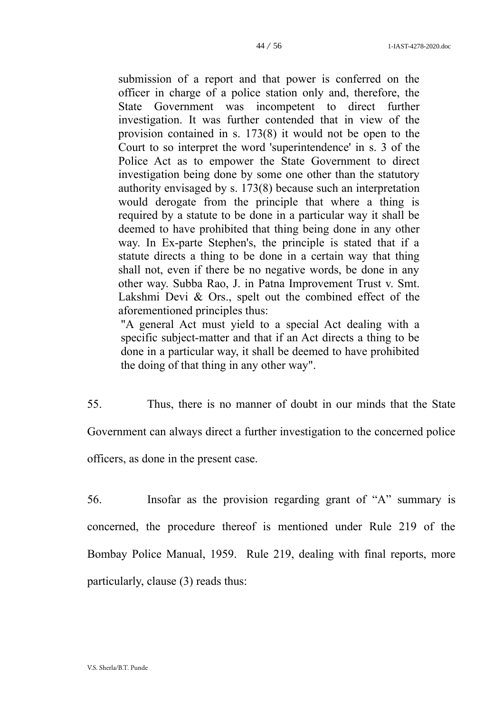submission of a report and that power is conferred on the officer in charge of a police station only and, therefore, the State Government was incompetent to direct further investigation. It was further contended that in view of the provision contained in [s. 173\(8\)](https://indiankanoon.org/doc/1612841/) it would not be open to the Court to so interpret the word 'superintendence' in [s. 3](https://indiankanoon.org/doc/1883938/) of the Police Act as to empower the State Government to direct investigation being done by some one other than the statutory authority envisaged by [s. 173\(8\)](https://indiankanoon.org/doc/1612841/) because such an interpretation would derogate from the principle that where a thing is required by a statute to be done in a particular way it shall be deemed to have prohibited that thing being done in any other way. In Ex-parte Stephen's, the principle is stated that if a statute directs a thing to be done in a certain way that thing shall not, even if there be no negative words, be done in any other way. Subba Rao, J. in [Patna Improvement Trust v. Smt.](https://indiankanoon.org/doc/1155640/) [Lakshmi Devi & Ors.](https://indiankanoon.org/doc/1155640/), spelt out the combined effect of the aforementioned principles thus:

"A general Act must yield to a special Act dealing with a specific subject-matter and that if an Act directs a thing to be done in a particular way, it shall be deemed to have prohibited the doing of that thing in any other way".

55. Thus, there is no manner of doubt in our minds that the State Government can always direct a further investigation to the concerned police officers, as done in the present case.

56. Insofar as the provision regarding grant of "A" summary is concerned, the procedure thereof is mentioned under Rule 219 of the Bombay Police Manual, 1959. Rule 219, dealing with final reports, more particularly, clause (3) reads thus: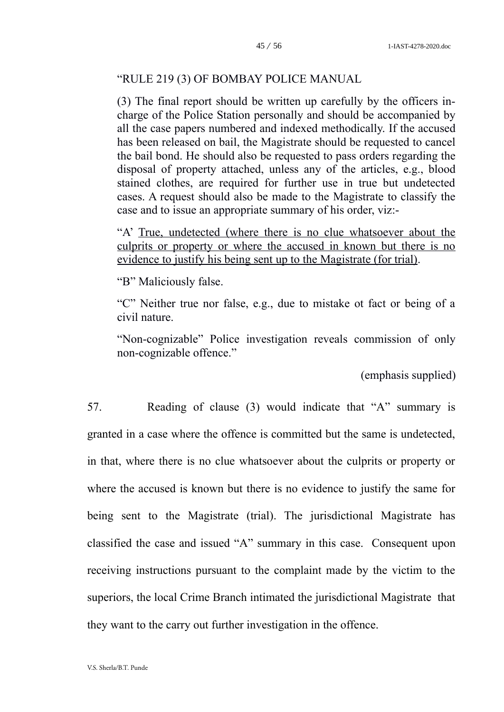## "RULE 219 (3) OF BOMBAY POLICE MANUAL

(3) The final report should be written up carefully by the officers incharge of the Police Station personally and should be accompanied by all the case papers numbered and indexed methodically. If the accused has been released on bail, the Magistrate should be requested to cancel the bail bond. He should also be requested to pass orders regarding the disposal of property attached, unless any of the articles, e.g., blood stained clothes, are required for further use in true but undetected cases. A request should also be made to the Magistrate to classify the case and to issue an appropriate summary of his order, viz:-

"A' True, undetected (where there is no clue whatsoever about the culprits or property or where the accused in known but there is no evidence to justify his being sent up to the Magistrate (for trial).

"B" Maliciously false.

"C" Neither true nor false, e.g., due to mistake ot fact or being of a civil nature.

"Non-cognizable" Police investigation reveals commission of only non-cognizable offence."

(emphasis supplied)

57. Reading of clause (3) would indicate that "A" summary is granted in a case where the offence is committed but the same is undetected, in that, where there is no clue whatsoever about the culprits or property or where the accused is known but there is no evidence to justify the same for being sent to the Magistrate (trial). The jurisdictional Magistrate has classified the case and issued "A" summary in this case. Consequent upon receiving instructions pursuant to the complaint made by the victim to the superiors, the local Crime Branch intimated the jurisdictional Magistrate that they want to the carry out further investigation in the offence.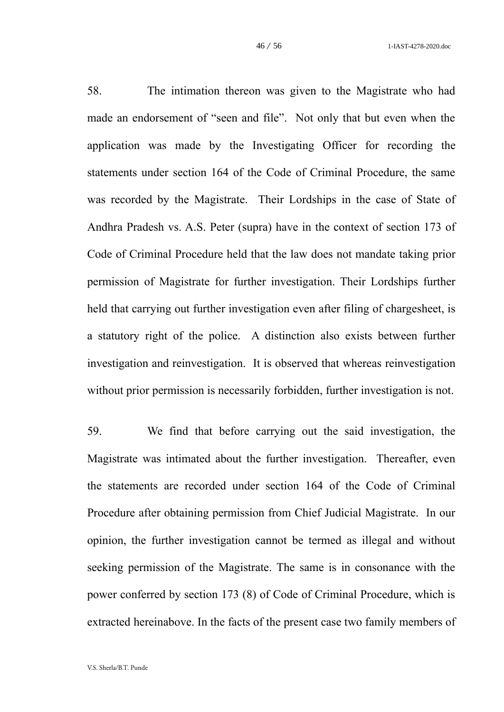58. The intimation thereon was given to the Magistrate who had made an endorsement of "seen and file". Not only that but even when the application was made by the Investigating Officer for recording the statements under section 164 of the Code of Criminal Procedure, the same was recorded by the Magistrate. Their Lordships in the case of State of Andhra Pradesh vs. A.S. Peter (supra) have in the context of section 173 of Code of Criminal Procedure held that the law does not mandate taking prior permission of Magistrate for further investigation. Their Lordships further held that carrying out further investigation even after filing of chargesheet, is a statutory right of the police. A distinction also exists between further investigation and reinvestigation. It is observed that whereas reinvestigation without prior permission is necessarily forbidden, further investigation is not.

59. We find that before carrying out the said investigation, the Magistrate was intimated about the further investigation. Thereafter, even the statements are recorded under section 164 of the Code of Criminal Procedure after obtaining permission from Chief Judicial Magistrate. In our opinion, the further investigation cannot be termed as illegal and without seeking permission of the Magistrate. The same is in consonance with the power conferred by section 173 (8) of Code of Criminal Procedure, which is extracted hereinabove. In the facts of the present case two family members of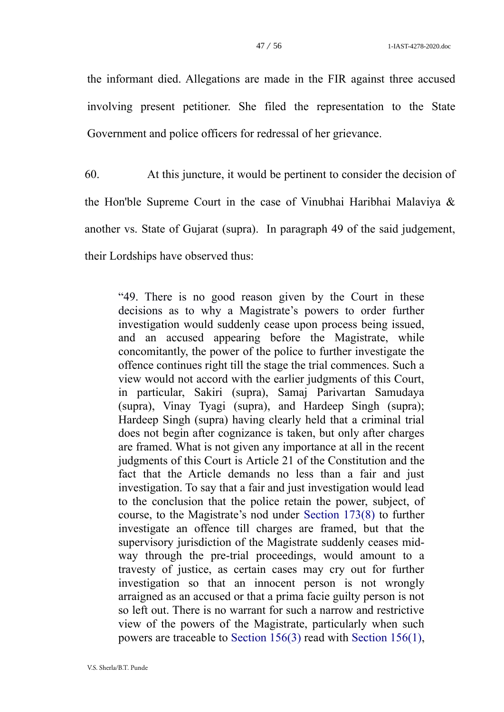the informant died. Allegations are made in the FIR against three accused involving present petitioner. She filed the representation to the State Government and police officers for redressal of her grievance.

60. At this juncture, it would be pertinent to consider the decision of the Hon'ble Supreme Court in the case of Vinubhai Haribhai Malaviya & another vs. State of Gujarat (supra). In paragraph 49 of the said judgement, their Lordships have observed thus:

"49. There is no good reason given by the Court in these decisions as to why a Magistrate's powers to order further investigation would suddenly cease upon process being issued, and an accused appearing before the Magistrate, while concomitantly, the power of the police to further investigate the offence continues right till the stage the trial commences. Such a view would not accord with the earlier judgments of this Court, in particular, Sakiri (supra), Samaj Parivartan Samudaya (supra), Vinay Tyagi (supra), and Hardeep Singh (supra); Hardeep Singh (supra) having clearly held that a criminal trial does not begin after cognizance is taken, but only after charges are framed. What is not given any importance at all in the recent judgments of this Court is [Article](https://indiankanoon.org/doc/1199182/) 21 of the Constitution and the fact that the Article demands no less than a fair and just investigation. To say that a fair and just investigation would lead to the conclusion that the police retain the power, subject, of course, to the Magistrate's nod under [Section 173\(8\)](https://indiankanoon.org/doc/1233094/) to further investigate an offence till charges are framed, but that the supervisory jurisdiction of the Magistrate suddenly ceases midway through the pre-trial proceedings, would amount to a travesty of justice, as certain cases may cry out for further investigation so that an innocent person is not wrongly arraigned as an accused or that a prima facie guilty person is not so left out. There is no warrant for such a narrow and restrictive view of the powers of the Magistrate, particularly when such powers are traceable to [Section 156\(3\)](https://indiankanoon.org/doc/1233094/) read with [Section 156\(1\),](https://indiankanoon.org/doc/1233094/)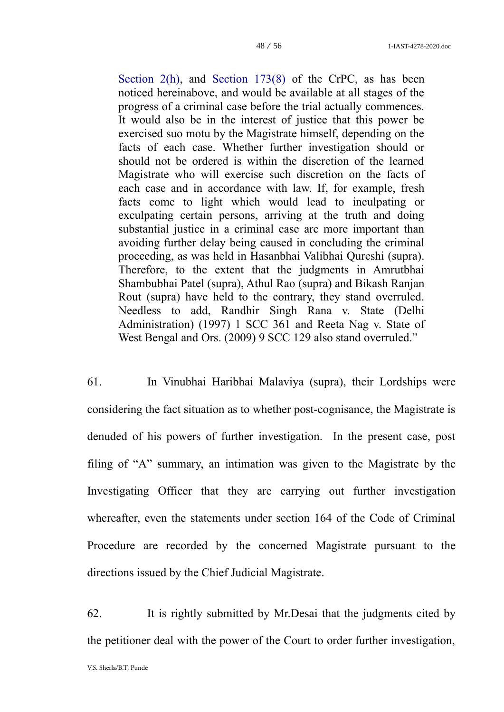[Section 2\(h\),](https://indiankanoon.org/doc/1904461/) and [Section 173\(8\)](https://indiankanoon.org/doc/1233094/) of the CrPC, as has been noticed hereinabove, and would be available at all stages of the progress of a criminal case before the trial actually commences. It would also be in the interest of justice that this power be exercised suo motu by the Magistrate himself, depending on the facts of each case. Whether further investigation should or should not be ordered is within the discretion of the learned Magistrate who will exercise such discretion on the facts of each case and in accordance with law. If, for example, fresh facts come to light which would lead to inculpating or exculpating certain persons, arriving at the truth and doing substantial justice in a criminal case are more important than avoiding further delay being caused in concluding the criminal proceeding, as was held in Hasanbhai Valibhai Qureshi (supra). Therefore, to the extent that the judgments in Amrutbhai Shambubhai Patel (supra), Athul Rao (supra) and Bikash Ranjan Rout (supra) have held to the contrary, they stand overruled. Needless to add, [Randhir Singh Rana v. State \(Delhi](https://indiankanoon.org/doc/847835/) [Administration\)](https://indiankanoon.org/doc/847835/) (1997) 1 SCC 361 and [Reeta Nag v. State of](https://indiankanoon.org/doc/549989/) [West Bengal and Ors.](https://indiankanoon.org/doc/549989/) (2009) 9 SCC 129 also stand overruled."

61. In Vinubhai Haribhai Malaviya (supra), their Lordships were considering the fact situation as to whether post-cognisance, the Magistrate is denuded of his powers of further investigation. In the present case, post filing of "A" summary, an intimation was given to the Magistrate by the Investigating Officer that they are carrying out further investigation whereafter, even the statements under section 164 of the Code of Criminal Procedure are recorded by the concerned Magistrate pursuant to the directions issued by the Chief Judicial Magistrate.

62. It is rightly submitted by Mr.Desai that the judgments cited by the petitioner deal with the power of the Court to order further investigation,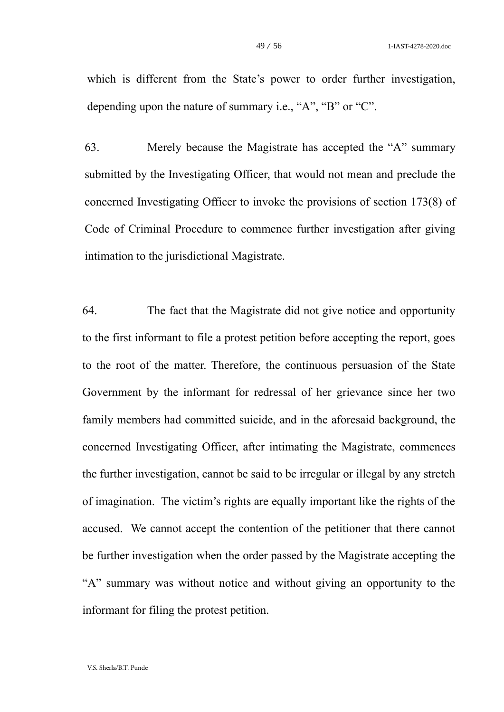which is different from the State's power to order further investigation, depending upon the nature of summary i.e., "A", "B" or "C".

63. Merely because the Magistrate has accepted the "A" summary submitted by the Investigating Officer, that would not mean and preclude the concerned Investigating Officer to invoke the provisions of section 173(8) of Code of Criminal Procedure to commence further investigation after giving intimation to the jurisdictional Magistrate.

64. The fact that the Magistrate did not give notice and opportunity to the first informant to file a protest petition before accepting the report, goes to the root of the matter. Therefore, the continuous persuasion of the State Government by the informant for redressal of her grievance since her two family members had committed suicide, and in the aforesaid background, the concerned Investigating Officer, after intimating the Magistrate, commences the further investigation, cannot be said to be irregular or illegal by any stretch of imagination. The victim's rights are equally important like the rights of the accused. We cannot accept the contention of the petitioner that there cannot be further investigation when the order passed by the Magistrate accepting the "A" summary was without notice and without giving an opportunity to the informant for filing the protest petition.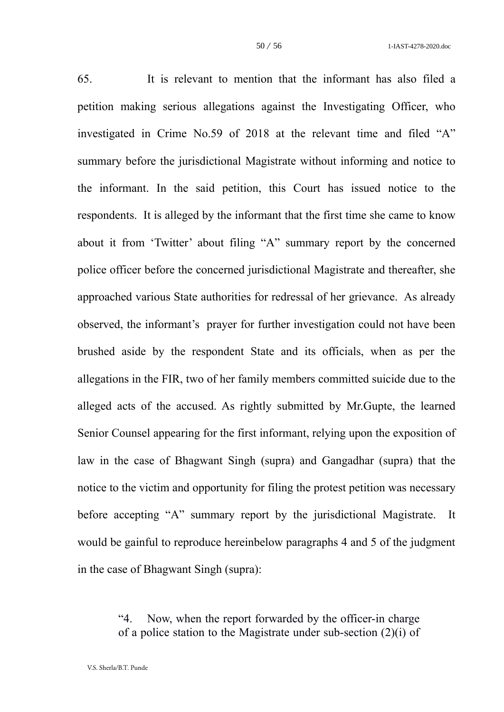65. It is relevant to mention that the informant has also filed a petition making serious allegations against the Investigating Officer, who investigated in Crime No.59 of 2018 at the relevant time and filed "A" summary before the jurisdictional Magistrate without informing and notice to the informant. In the said petition, this Court has issued notice to the respondents. It is alleged by the informant that the first time she came to know about it from 'Twitter' about filing "A" summary report by the concerned police officer before the concerned jurisdictional Magistrate and thereafter, she approached various State authorities for redressal of her grievance. As already observed, the informant's prayer for further investigation could not have been brushed aside by the respondent State and its officials, when as per the allegations in the FIR, two of her family members committed suicide due to the alleged acts of the accused. As rightly submitted by Mr.Gupte, the learned Senior Counsel appearing for the first informant, relying upon the exposition of law in the case of Bhagwant Singh (supra) and Gangadhar (supra) that the notice to the victim and opportunity for filing the protest petition was necessary before accepting "A" summary report by the jurisdictional Magistrate. It would be gainful to reproduce hereinbelow paragraphs 4 and 5 of the judgment in the case of Bhagwant Singh (supra):

> "4. Now, when the report forwarded by the officer-in charge of a police station to the Magistrate under sub-section (2)(i) of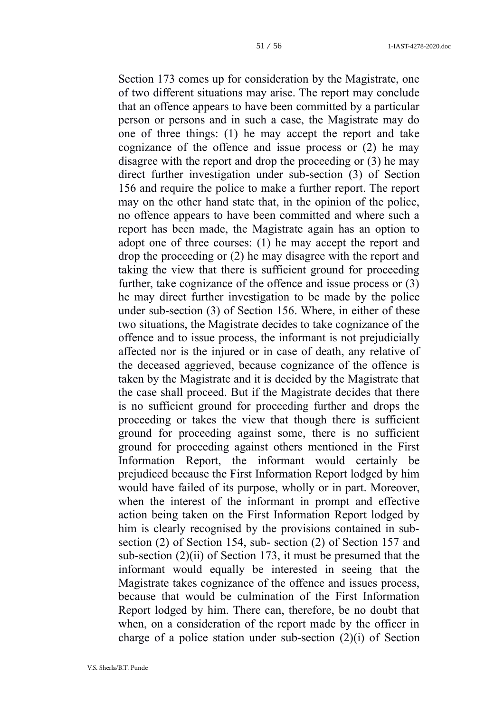[Section 173](https://indiankanoon.org/doc/1412034/) comes up for consideration by the Magistrate, one of two different situations may arise. The report may conclude that an offence appears to have been committed by a particular person or persons and in such a case, the Magistrate may do one of three things: (1) he may accept the report and take cognizance of the offence and issue process or (2) he may disagree with the report and drop the proceeding or (3) he may direct further investigation under sub-section (3) of [Section](https://indiankanoon.org/doc/1291024/) [156](https://indiankanoon.org/doc/1291024/) and require the police to make a further report. The report may on the other hand state that, in the opinion of the police, no offence appears to have been committed and where such a report has been made, the Magistrate again has an option to adopt one of three courses: (1) he may accept the report and drop the proceeding or (2) he may disagree with the report and taking the view that there is sufficient ground for proceeding further, take cognizance of the offence and issue process or (3) he may direct further investigation to be made by the police under sub-section (3) of [Section 156.](https://indiankanoon.org/doc/1291024/) Where, in either of these two situations, the Magistrate decides to take cognizance of the offence and to issue process, the informant is not prejudicially affected nor is the injured or in case of death, any relative of the deceased aggrieved, because cognizance of the offence is taken by the Magistrate and it is decided by the Magistrate that the case shall proceed. But if the Magistrate decides that there is no sufficient ground for proceeding further and drops the proceeding or takes the view that though there is sufficient ground for proceeding against some, there is no sufficient ground for proceeding against others mentioned in the First Information Report, the informant would certainly be prejudiced because the First Information Report lodged by him would have failed of its purpose, wholly or in part. Moreover, when the interest of the informant in prompt and effective action being taken on the First Information Report lodged by him is clearly recognised by the provisions contained in subsection (2) of [Section 154,](https://indiankanoon.org/doc/1980578/) sub- section (2) of [Section 157](https://indiankanoon.org/doc/279174/) and sub-section (2)(ii) of [Section 173,](https://indiankanoon.org/doc/1412034/) it must be presumed that the informant would equally be interested in seeing that the Magistrate takes cognizance of the offence and issues process, because that would be culmination of the First Information Report lodged by him. There can, therefore, be no doubt that when, on a consideration of the report made by the officer in charge of a police station under sub-section (2)(i) of [Section](https://indiankanoon.org/doc/1412034/)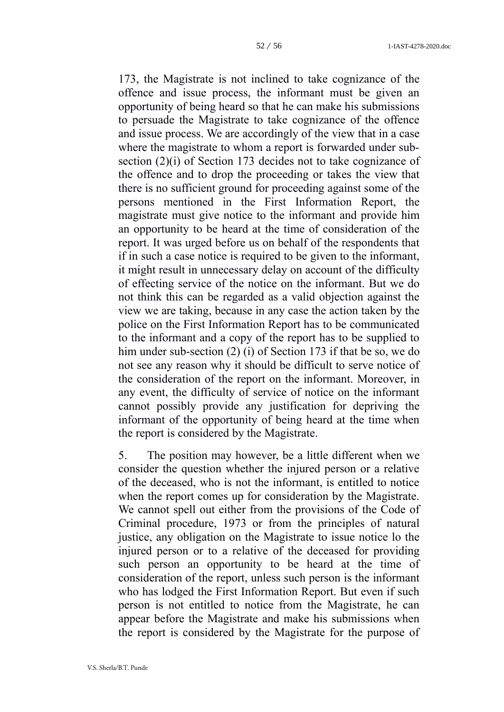[173,](https://indiankanoon.org/doc/1412034/) the Magistrate is not inclined to take cognizance of the offence and issue process, the informant must be given an opportunity of being heard so that he can make his submissions to persuade the Magistrate to take cognizance of the offence and issue process. We are accordingly of the view that in a case where the magistrate to whom a report is forwarded under subsection (2)(i) of [Section 173](https://indiankanoon.org/doc/1412034/) decides not to take cognizance of the offence and to drop the proceeding or takes the view that there is no sufficient ground for proceeding against some of the persons mentioned in the First Information Report, the magistrate must give notice to the informant and provide him an opportunity to be heard at the time of consideration of the report. It was urged before us on behalf of the respondents that if in such a case notice is required to be given to the informant, it might result in unnecessary delay on account of the difficulty of effecting service of the notice on the informant. But we do not think this can be regarded as a valid objection against the view we are taking, because in any case the action taken by the police on the First Information Report has to be communicated to the informant and a copy of the report has to be supplied to him under sub-section (2) (i) of [Section 173](https://indiankanoon.org/doc/1412034/) if that be so, we do not see any reason why it should be difficult to serve notice of the consideration of the report on the informant. Moreover, in any event, the difficulty of service of notice on the informant cannot possibly provide any justification for depriving the informant of the opportunity of being heard at the time when the report is considered by the Magistrate.

5. The position may however, be a little different when we consider the question whether the injured person or a relative of the deceased, who is not the informant, is entitled to notice when the report comes up for consideration by the Magistrate. We cannot spell out either from the provisions of the Code of Criminal procedure, 1973 or from the principles of natural justice, any obligation on the Magistrate to issue notice lo the injured person or to a relative of the deceased for providing such person an opportunity to be heard at the time of consideration of the report, unless such person is the informant who has lodged the First Information Report. But even if such person is not entitled to notice from the Magistrate, he can appear before the Magistrate and make his submissions when the report is considered by the Magistrate for the purpose of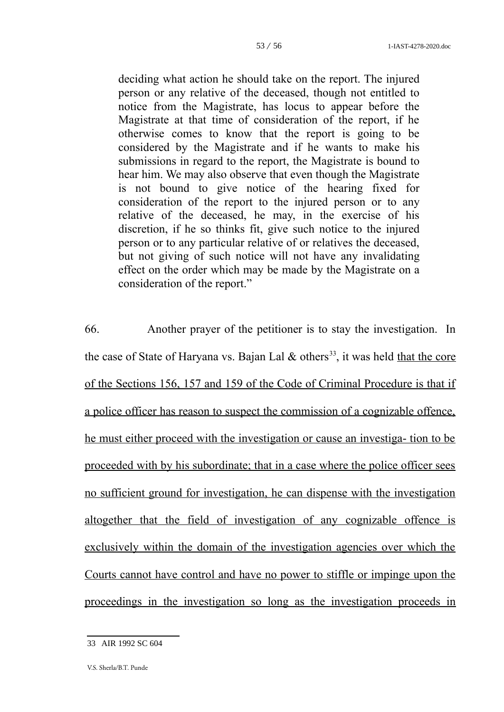deciding what action he should take on the report. The injured person or any relative of the deceased, though not entitled to notice from the Magistrate, has locus to appear before the Magistrate at that time of consideration of the report, if he otherwise comes to know that the report is going to be considered by the Magistrate and if he wants to make his submissions in regard to the report, the Magistrate is bound to hear him. We may also observe that even though the Magistrate is not bound to give notice of the hearing fixed for consideration of the report to the injured person or to any relative of the deceased, he may, in the exercise of his discretion, if he so thinks fit, give such notice to the injured person or to any particular relative of or relatives the deceased, but not giving of such notice will not have any invalidating effect on the order which may be made by the Magistrate on a consideration of the report."

66. Another prayer of the petitioner is to stay the investigation. In the case of State of Haryana vs. Bajan Lal  $\&$  others<sup>[33](#page-52-0)</sup>, it was held that the core of the Sections 156, 157 and 159 of the Code of Criminal Procedure is that if a police officer has reason to suspect the commission of a cognizable offence, he must either proceed with the investigation or cause an investiga- tion to be proceeded with by his subordinate; that in a case where the police officer sees no sufficient ground for investigation, he can dispense with the investigation altogether that the field of investigation of any cognizable offence is exclusively within the domain of the investigation agencies over which the Courts cannot have control and have no power to stiffle or impinge upon the proceedings in the investigation so long as the investigation proceeds in

<span id="page-52-0"></span><sup>33</sup> AIR 1992 SC 604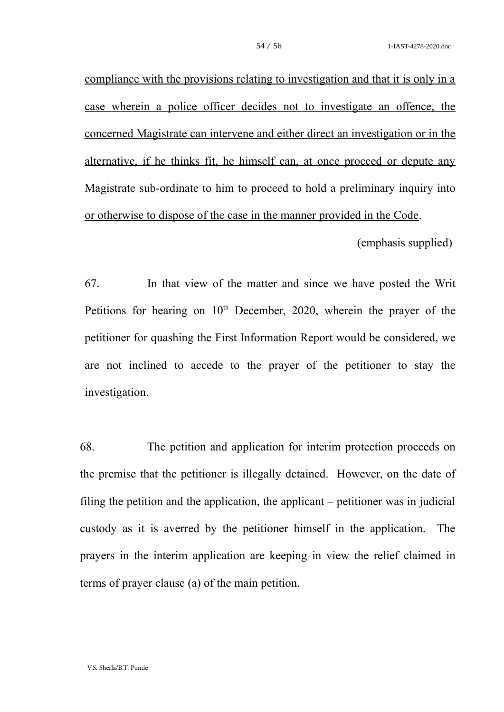compliance with the provisions relating to investigation and that it is only in a case wherein a police officer decides not to investigate an offence, the concerned Magistrate can intervene and either direct an investigation or in the alternative, if he thinks fit, he himself can, at once proceed or depute any Magistrate sub-ordinate to him to proceed to hold a preliminary inquiry into or otherwise to dispose of the case in the manner provided in the Code.

(emphasis supplied)

67. In that view of the matter and since we have posted the Writ Petitions for hearing on  $10<sup>th</sup>$  December, 2020, wherein the prayer of the petitioner for quashing the First Information Report would be considered, we are not inclined to accede to the prayer of the petitioner to stay the investigation.

68. The petition and application for interim protection proceeds on the premise that the petitioner is illegally detained. However, on the date of filing the petition and the application, the applicant  $-$  petitioner was in judicial custody as it is averred by the petitioner himself in the application. The prayers in the interim application are keeping in view the relief claimed in terms of prayer clause (a) of the main petition.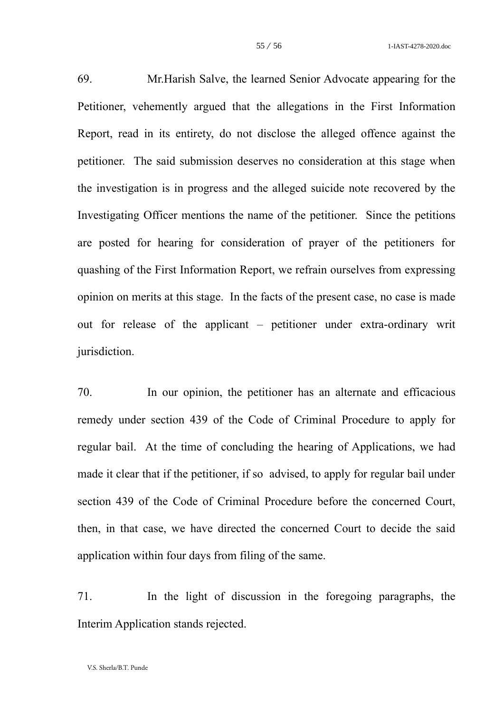69. Mr.Harish Salve, the learned Senior Advocate appearing for the Petitioner, vehemently argued that the allegations in the First Information Report, read in its entirety, do not disclose the alleged offence against the petitioner. The said submission deserves no consideration at this stage when the investigation is in progress and the alleged suicide note recovered by the Investigating Officer mentions the name of the petitioner. Since the petitions are posted for hearing for consideration of prayer of the petitioners for quashing of the First Information Report, we refrain ourselves from expressing opinion on merits at this stage. In the facts of the present case, no case is made out for release of the applicant – petitioner under extra-ordinary writ jurisdiction.

70. In our opinion, the petitioner has an alternate and efficacious remedy under section 439 of the Code of Criminal Procedure to apply for regular bail. At the time of concluding the hearing of Applications, we had made it clear that if the petitioner, if so advised, to apply for regular bail under section 439 of the Code of Criminal Procedure before the concerned Court, then, in that case, we have directed the concerned Court to decide the said application within four days from filing of the same.

71. In the light of discussion in the foregoing paragraphs, the Interim Application stands rejected.